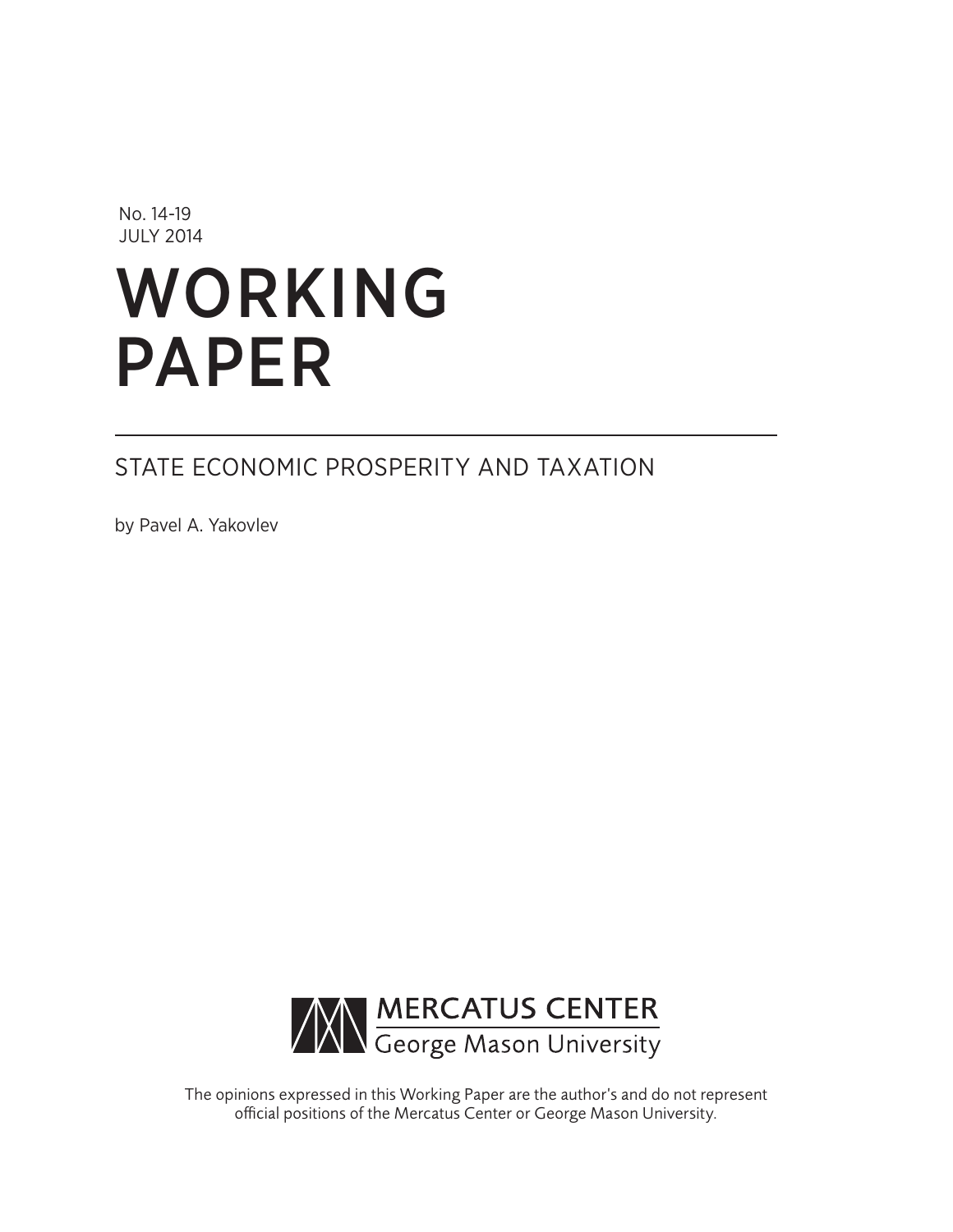No. 14-19 JULY 2014

# WORKING PAPER

## STATE ECONOMIC PROSPERITY AND TAXATION

by Pavel A. Yakovlev



The opinions expressed in this Working Paper are the author's and do not represent official positions of the Mercatus Center or George Mason University.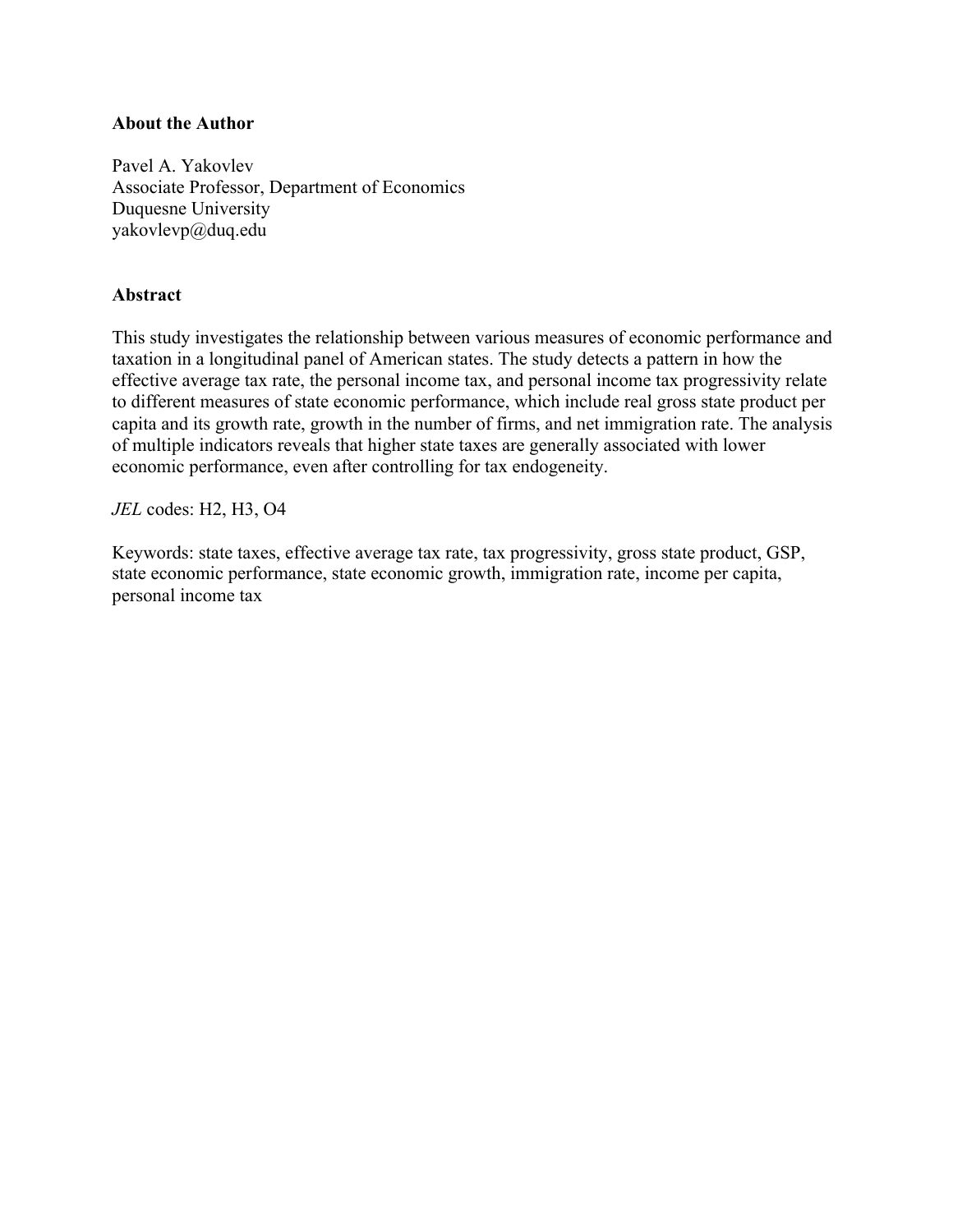## **About the Author**

Pavel A. Yakovlev Associate Professor, Department of Economics Duquesne University [yakovlevp@duq.edu](mailto:yakovlevp@duq.edu)

## **Abstract**

This study investigates the relationship between various measures of economic performance and taxation in a longitudinal panel of American states. The study detects a pattern in how the effective average tax rate, the personal income tax, and personal income tax progressivity relate to different measures of state economic performance, which include real gross state product per capita and its growth rate, growth in the number of firms, and net immigration rate. The analysis of multiple indicators reveals that higher state taxes are generally associated with lower economic performance, even after controlling for tax endogeneity.

*JEL* codes: H2, H3, O4

Keywords: state taxes, effective average tax rate, tax progressivity, gross state product, GSP, state economic performance, state economic growth, immigration rate, income per capita, personal income tax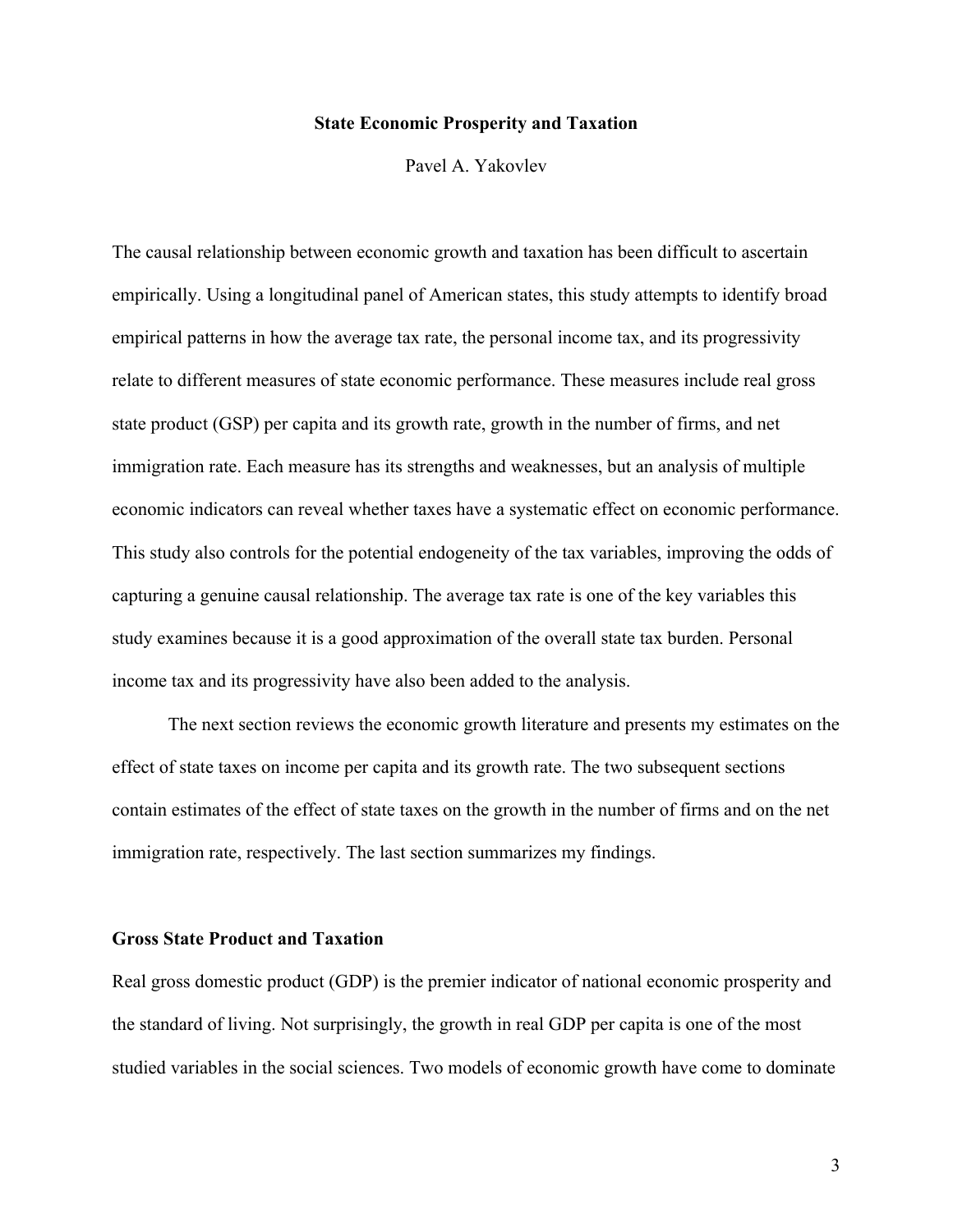## **State Economic Prosperity and Taxation**

Pavel A. Yakovlev

The causal relationship between economic growth and taxation has been difficult to ascertain empirically. Using a longitudinal panel of American states, this study attempts to identify broad empirical patterns in how the average tax rate, the personal income tax, and its progressivity relate to different measures of state economic performance. These measures include real gross state product (GSP) per capita and its growth rate, growth in the number of firms, and net immigration rate. Each measure has its strengths and weaknesses, but an analysis of multiple economic indicators can reveal whether taxes have a systematic effect on economic performance. This study also controls for the potential endogeneity of the tax variables, improving the odds of capturing a genuine causal relationship. The average tax rate is one of the key variables this study examines because it is a good approximation of the overall state tax burden. Personal income tax and its progressivity have also been added to the analysis.

The next section reviews the economic growth literature and presents my estimates on the effect of state taxes on income per capita and its growth rate. The two subsequent sections contain estimates of the effect of state taxes on the growth in the number of firms and on the net immigration rate, respectively. The last section summarizes my findings.

## **Gross State Product and Taxation**

Real gross domestic product (GDP) is the premier indicator of national economic prosperity and the standard of living. Not surprisingly, the growth in real GDP per capita is one of the most studied variables in the social sciences. Two models of economic growth have come to dominate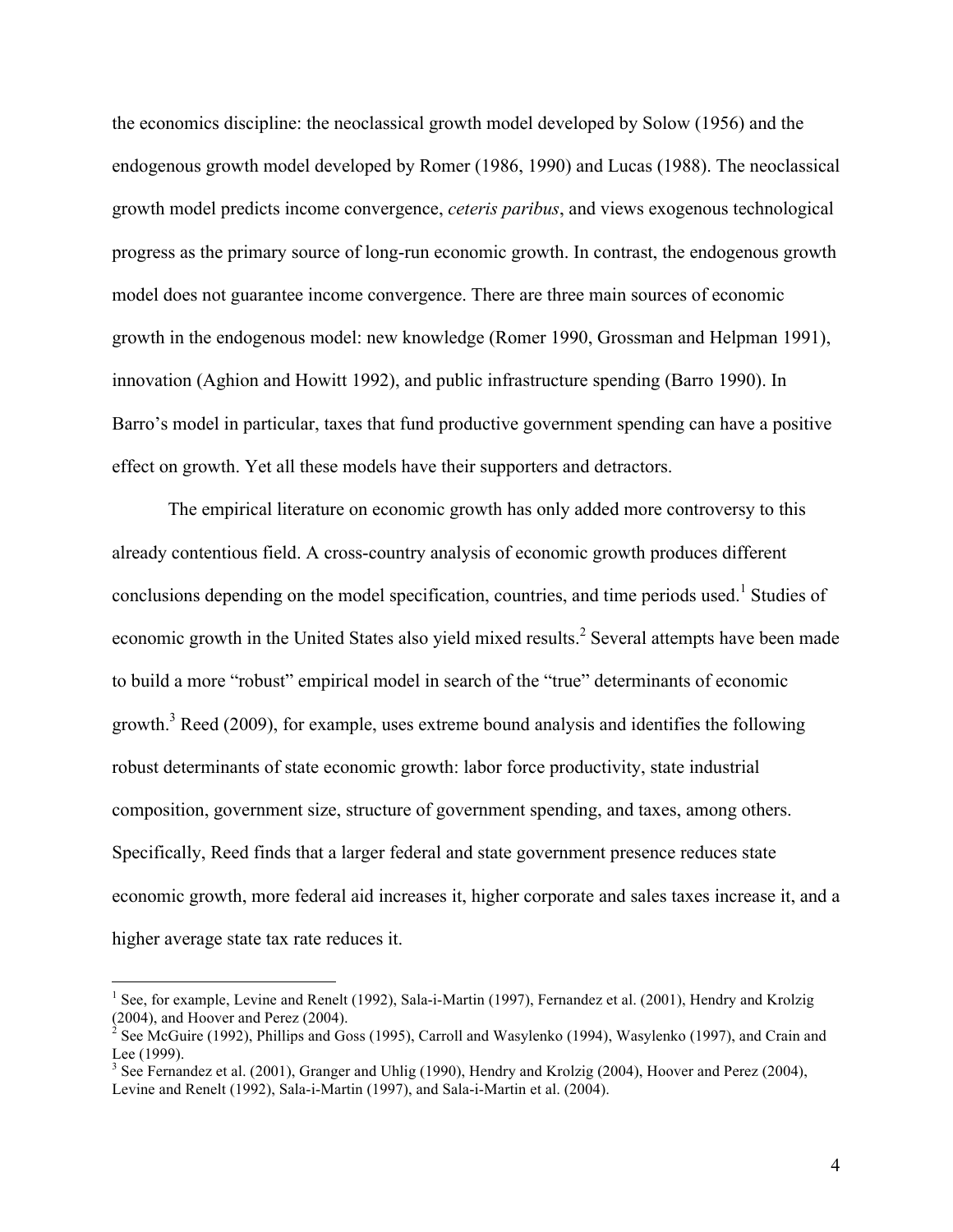the economics discipline: the neoclassical growth model developed by Solow (1956) and the endogenous growth model developed by Romer (1986, 1990) and Lucas (1988). The neoclassical growth model predicts income convergence, *ceteris paribus*, and views exogenous technological progress as the primary source of long-run economic growth. In contrast, the endogenous growth model does not guarantee income convergence. There are three main sources of economic growth in the endogenous model: new knowledge (Romer 1990, Grossman and Helpman 1991), innovation (Aghion and Howitt 1992), and public infrastructure spending (Barro 1990). In Barro's model in particular, taxes that fund productive government spending can have a positive effect on growth. Yet all these models have their supporters and detractors.

The empirical literature on economic growth has only added more controversy to this already contentious field. A cross-country analysis of economic growth produces different conclusions depending on the model specification, countries, and time periods used. <sup>1</sup> Studies of economic growth in the United States also yield mixed results.<sup>2</sup> Several attempts have been made to build a more "robust" empirical model in search of the "true" determinants of economic growth.<sup>3</sup> Reed (2009), for example, uses extreme bound analysis and identifies the following robust determinants of state economic growth: labor force productivity, state industrial composition, government size, structure of government spending, and taxes, among others. Specifically, Reed finds that a larger federal and state government presence reduces state economic growth, more federal aid increases it, higher corporate and sales taxes increase it, and a higher average state tax rate reduces it.

<sup>&</sup>lt;sup>1</sup> See, for example, Levine and Renelt (1992), Sala-i-Martin (1997), Fernandez et al. (2001), Hendry and Krolzig (2004), and Hoover and Perez (2004).

See McGuire (1992), Phillips and Goss (1995), Carroll and Wasylenko (1994), Wasylenko (1997), and Crain and Lee (1999).

<sup>&</sup>lt;sup>3</sup> See Fernandez et al. (2001), Granger and Uhlig (1990), Hendry and Krolzig (2004), Hoover and Perez (2004), Levine and Renelt (1992), Sala-i-Martin (1997), and Sala-i-Martin et al. (2004).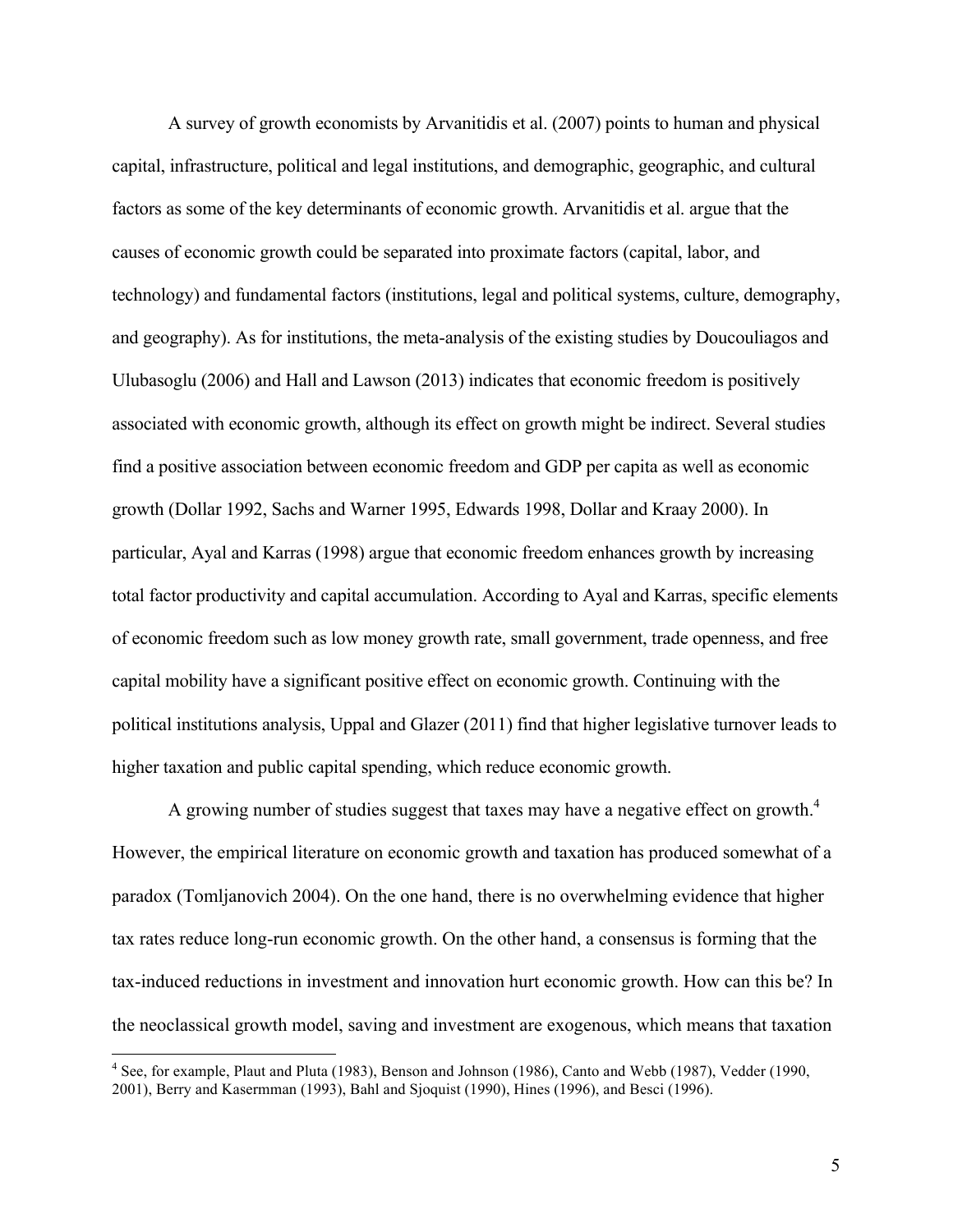A survey of growth economists by Arvanitidis et al. (2007) points to human and physical capital, infrastructure, political and legal institutions, and demographic, geographic, and cultural factors as some of the key determinants of economic growth. Arvanitidis et al. argue that the causes of economic growth could be separated into proximate factors (capital, labor, and technology) and fundamental factors (institutions, legal and political systems, culture, demography, and geography). As for institutions, the meta-analysis of the existing studies by Doucouliagos and Ulubasoglu (2006) and Hall and Lawson (2013) indicates that economic freedom is positively associated with economic growth, although its effect on growth might be indirect. Several studies find a positive association between economic freedom and GDP per capita as well as economic growth (Dollar 1992, Sachs and Warner 1995, Edwards 1998, Dollar and Kraay 2000). In particular, Ayal and Karras (1998) argue that economic freedom enhances growth by increasing total factor productivity and capital accumulation. According to Ayal and Karras, specific elements of economic freedom such as low money growth rate, small government, trade openness, and free capital mobility have a significant positive effect on economic growth. Continuing with the political institutions analysis, Uppal and Glazer (2011) find that higher legislative turnover leads to higher taxation and public capital spending, which reduce economic growth.

A growing number of studies suggest that taxes may have a negative effect on growth.<sup>4</sup> However, the empirical literature on economic growth and taxation has produced somewhat of a paradox (Tomljanovich 2004). On the one hand, there is no overwhelming evidence that higher tax rates reduce long-run economic growth. On the other hand, a consensus is forming that the tax-induced reductions in investment and innovation hurt economic growth. How can this be? In the neoclassical growth model, saving and investment are exogenous, which means that taxation

<sup>&</sup>lt;sup>4</sup> See, for example, Plaut and Pluta (1983), Benson and Johnson (1986), Canto and Webb (1987), Vedder (1990, 2001), Berry and Kasermman (1993), Bahl and Sjoquist (1990), Hines (1996), and Besci (1996).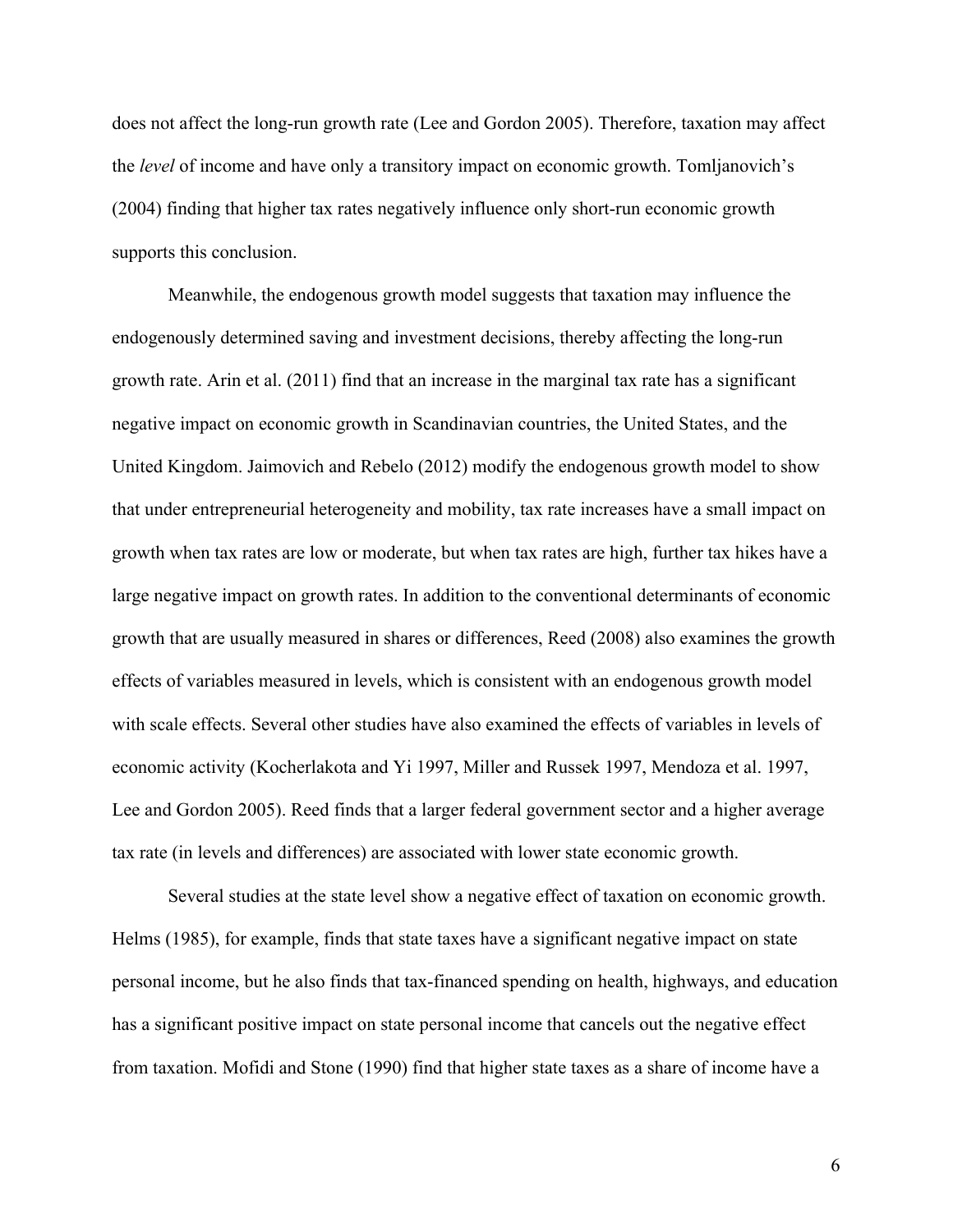does not affect the long-run growth rate (Lee and Gordon 2005). Therefore, taxation may affect the *level* of income and have only a transitory impact on economic growth. Tomljanovich's (2004) finding that higher tax rates negatively influence only short-run economic growth supports this conclusion.

Meanwhile, the endogenous growth model suggests that taxation may influence the endogenously determined saving and investment decisions, thereby affecting the long-run growth rate. Arin et al. (2011) find that an increase in the marginal tax rate has a significant negative impact on economic growth in Scandinavian countries, the United States, and the United Kingdom. Jaimovich and Rebelo (2012) modify the endogenous growth model to show that under entrepreneurial heterogeneity and mobility, tax rate increases have a small impact on growth when tax rates are low or moderate, but when tax rates are high, further tax hikes have a large negative impact on growth rates. In addition to the conventional determinants of economic growth that are usually measured in shares or differences, Reed (2008) also examines the growth effects of variables measured in levels, which is consistent with an endogenous growth model with scale effects. Several other studies have also examined the effects of variables in levels of economic activity (Kocherlakota and Yi 1997, Miller and Russek 1997, Mendoza et al. 1997, Lee and Gordon 2005). Reed finds that a larger federal government sector and a higher average tax rate (in levels and differences) are associated with lower state economic growth.

Several studies at the state level show a negative effect of taxation on economic growth. Helms (1985), for example, finds that state taxes have a significant negative impact on state personal income, but he also finds that tax-financed spending on health, highways, and education has a significant positive impact on state personal income that cancels out the negative effect from taxation. Mofidi and Stone (1990) find that higher state taxes as a share of income have a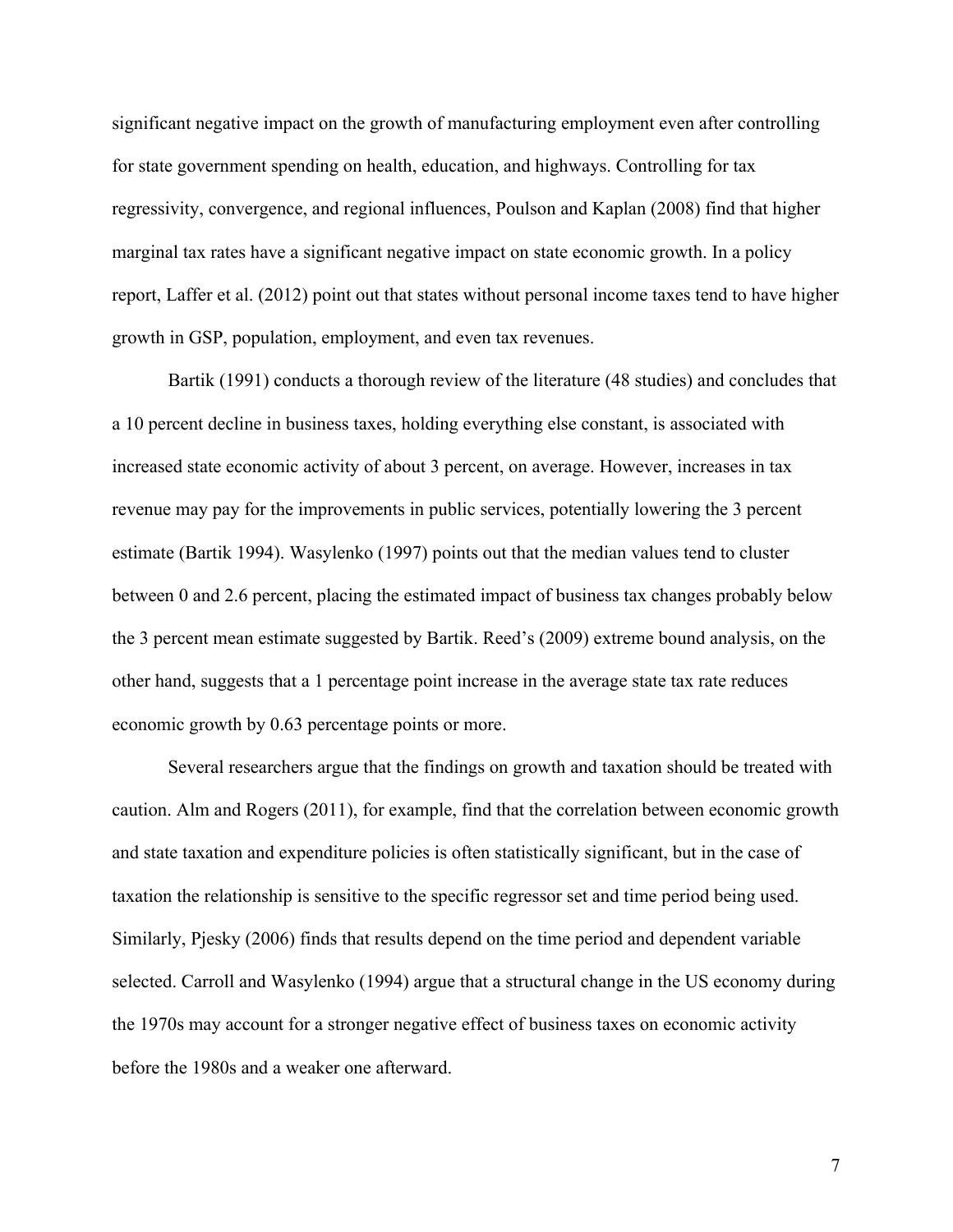significant negative impact on the growth of manufacturing employment even after controlling for state government spending on health, education, and highways. Controlling for tax regressivity, convergence, and regional influences, Poulson and Kaplan (2008) find that higher marginal tax rates have a significant negative impact on state economic growth. In a policy report, Laffer et al. (2012) point out that states without personal income taxes tend to have higher growth in GSP, population, employment, and even tax revenues.

Bartik (1991) conducts a thorough review of the literature (48 studies) and concludes that a 10 percent decline in business taxes, holding everything else constant, is associated with increased state economic activity of about 3 percent, on average. However, increases in tax revenue may pay for the improvements in public services, potentially lowering the 3 percent estimate (Bartik 1994). Wasylenko (1997) points out that the median values tend to cluster between 0 and 2.6 percent, placing the estimated impact of business tax changes probably below the 3 percent mean estimate suggested by Bartik. Reed's (2009) extreme bound analysis, on the other hand, suggests that a 1 percentage point increase in the average state tax rate reduces economic growth by 0.63 percentage points or more.

Several researchers argue that the findings on growth and taxation should be treated with caution. Alm and Rogers (2011), for example, find that the correlation between economic growth and state taxation and expenditure policies is often statistically significant, but in the case of taxation the relationship is sensitive to the specific regressor set and time period being used. Similarly, Pjesky (2006) finds that results depend on the time period and dependent variable selected. Carroll and Wasylenko (1994) argue that a structural change in the US economy during the 1970s may account for a stronger negative effect of business taxes on economic activity before the 1980s and a weaker one afterward.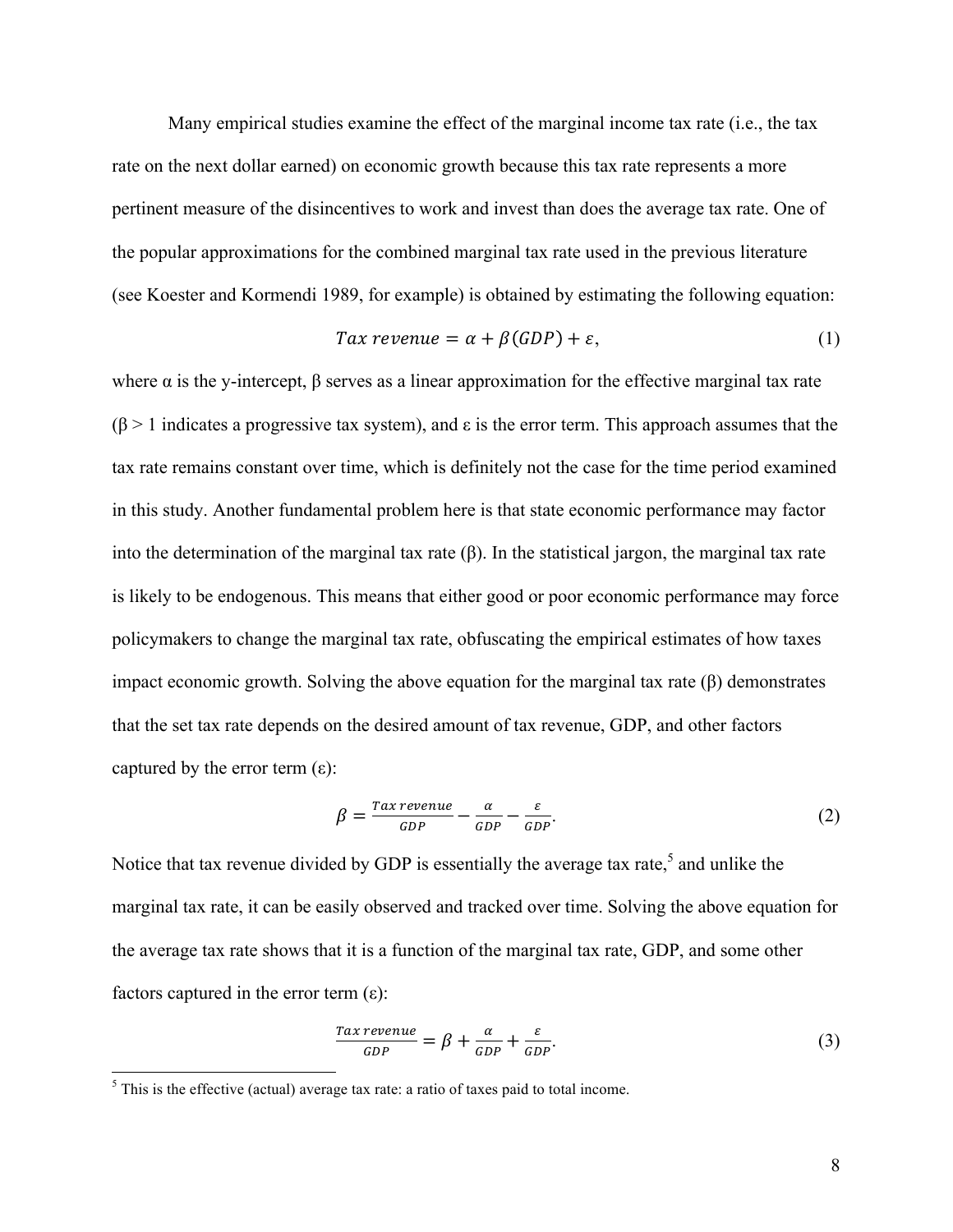Many empirical studies examine the effect of the marginal income tax rate (i.e., the tax rate on the next dollar earned) on economic growth because this tax rate represents a more pertinent measure of the disincentives to work and invest than does the average tax rate. One of the popular approximations for the combined marginal tax rate used in the previous literature (see Koester and Kormendi 1989, for example) is obtained by estimating the following equation:

$$
Tax revenue = \alpha + \beta (GDP) + \varepsilon, \tag{1}
$$

where  $\alpha$  is the y-intercept,  $\beta$  serves as a linear approximation for the effective marginal tax rate  $(β > 1)$  indicates a progressive tax system), and ε is the error term. This approach assumes that the tax rate remains constant over time, which is definitely not the case for the time period examined in this study. Another fundamental problem here is that state economic performance may factor into the determination of the marginal tax rate (β). In the statistical jargon, the marginal tax rate is likely to be endogenous. This means that either good or poor economic performance may force policymakers to change the marginal tax rate, obfuscating the empirical estimates of how taxes impact economic growth. Solving the above equation for the marginal tax rate (β) demonstrates that the set tax rate depends on the desired amount of tax revenue, GDP, and other factors captured by the error term  $(\epsilon)$ :

$$
\beta = \frac{\text{Tax revenue}}{\text{GDP}} - \frac{\alpha}{\text{GDP}} - \frac{\varepsilon}{\text{GDP}}.\tag{2}
$$

Notice that tax revenue divided by GDP is essentially the average tax rate, $\delta$  and unlike the marginal tax rate, it can be easily observed and tracked over time. Solving the above equation for the average tax rate shows that it is a function of the marginal tax rate, GDP, and some other factors captured in the error term  $(\epsilon)$ :

$$
\frac{Tax\,revenue}{GDP} = \beta + \frac{\alpha}{GDP} + \frac{\varepsilon}{GDP}.\tag{3}
$$

 $<sup>5</sup>$  This is the effective (actual) average tax rate: a ratio of taxes paid to total income.</sup>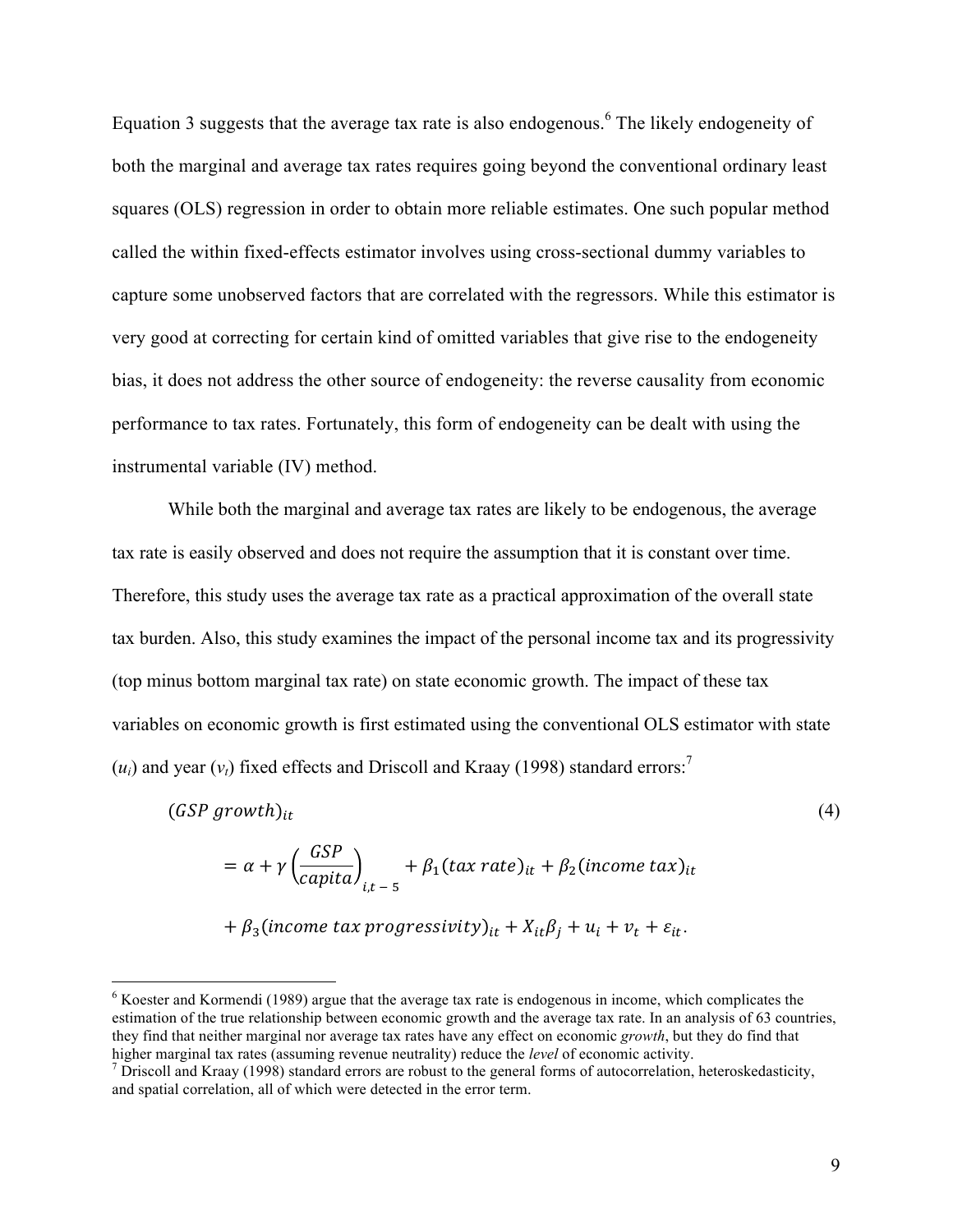Equation 3 suggests that the average tax rate is also endogenous. <sup>6</sup> The likely endogeneity of both the marginal and average tax rates requires going beyond the conventional ordinary least squares (OLS) regression in order to obtain more reliable estimates. One such popular method called the within fixed-effects estimator involves using cross-sectional dummy variables to capture some unobserved factors that are correlated with the regressors. While this estimator is very good at correcting for certain kind of omitted variables that give rise to the endogeneity bias, it does not address the other source of endogeneity: the reverse causality from economic performance to tax rates. Fortunately, this form of endogeneity can be dealt with using the instrumental variable (IV) method.

While both the marginal and average tax rates are likely to be endogenous, the average tax rate is easily observed and does not require the assumption that it is constant over time. Therefore, this study uses the average tax rate as a practical approximation of the overall state tax burden. Also, this study examines the impact of the personal income tax and its progressivity (top minus bottom marginal tax rate) on state economic growth. The impact of these tax variables on economic growth is first estimated using the conventional OLS estimator with state  $(u_i)$  and year  $(v_i)$  fixed effects and Driscoll and Kraay (1998) standard errors:<sup>7</sup>

$$
(GSP\ growth)_{it}
$$
\n
$$
(GSP \space)
$$
\n
$$
(GSP \space)
$$

$$
= \alpha + \gamma \left(\frac{2\pi}{capita}\right)_{i,t-5} + \beta_1 (tax rate)_{it} + \beta_2 (income tax)_{it}
$$

$$
+\beta_3
$$
(income tax progressivity)<sub>it</sub> +  $X_{it}\beta_j$  +  $u_i$  +  $v_t$  +  $\varepsilon_{it}$ .

 $6$  Koester and Kormendi (1989) argue that the average tax rate is endogenous in income, which complicates the estimation of the true relationship between economic growth and the average tax rate. In an analysis of 63 countries, they find that neither marginal nor average tax rates have any effect on economic *growth*, but they do find that higher marginal tax rates (assuming revenue neutrality) reduce the *level* of economic activity. <sup>7</sup> Driscoll and Kraay (1998) standard errors are robust to the general forms of autocorrelation, heteroskedasticity,

and spatial correlation, all of which were detected in the error term.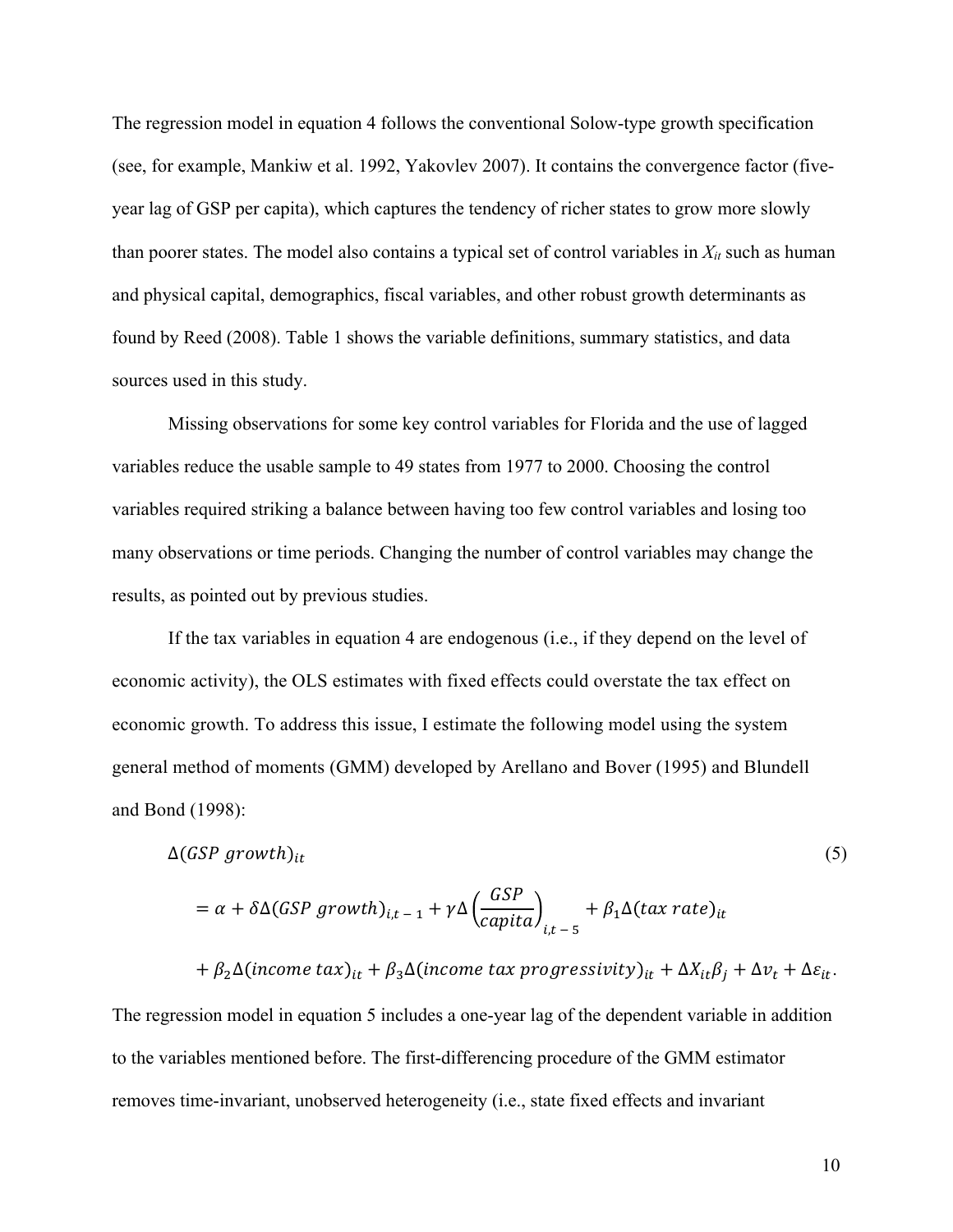The regression model in equation 4 follows the conventional Solow-type growth specification (see, for example, Mankiw et al. 1992, Yakovlev 2007). It contains the convergence factor (fiveyear lag of GSP per capita), which captures the tendency of richer states to grow more slowly than poorer states. The model also contains a typical set of control variables in  $X_{it}$  such as human and physical capital, demographics, fiscal variables, and other robust growth determinants as found by Reed (2008). Table 1 shows the variable definitions, summary statistics, and data sources used in this study.

Missing observations for some key control variables for Florida and the use of lagged variables reduce the usable sample to 49 states from 1977 to 2000. Choosing the control variables required striking a balance between having too few control variables and losing too many observations or time periods. Changing the number of control variables may change the results, as pointed out by previous studies.

If the tax variables in equation 4 are endogenous (i.e., if they depend on the level of economic activity), the OLS estimates with fixed effects could overstate the tax effect on economic growth. To address this issue, I estimate the following model using the system general method of moments (GMM) developed by Arellano and Bover (1995) and Blundell and Bond (1998):

$$
\Delta(GSP\ growth)_{it} \tag{5}
$$

$$
= \alpha + \delta \Delta (GSP\ growth)_{i,t-1} + \gamma \Delta \left(\frac{GSP}{capital}\right)_{i,t-5} + \beta_1 \Delta (tax\ rate)_{it}
$$

$$
+\beta_2\Delta(income tax)_{it} + \beta_3\Delta(income tax progressivity)_{it} + \Delta X_{it}\beta_j + \Delta v_t + \Delta \varepsilon_{it}.
$$

The regression model in equation 5 includes a one-year lag of the dependent variable in addition to the variables mentioned before. The first-differencing procedure of the GMM estimator removes time-invariant, unobserved heterogeneity (i.e., state fixed effects and invariant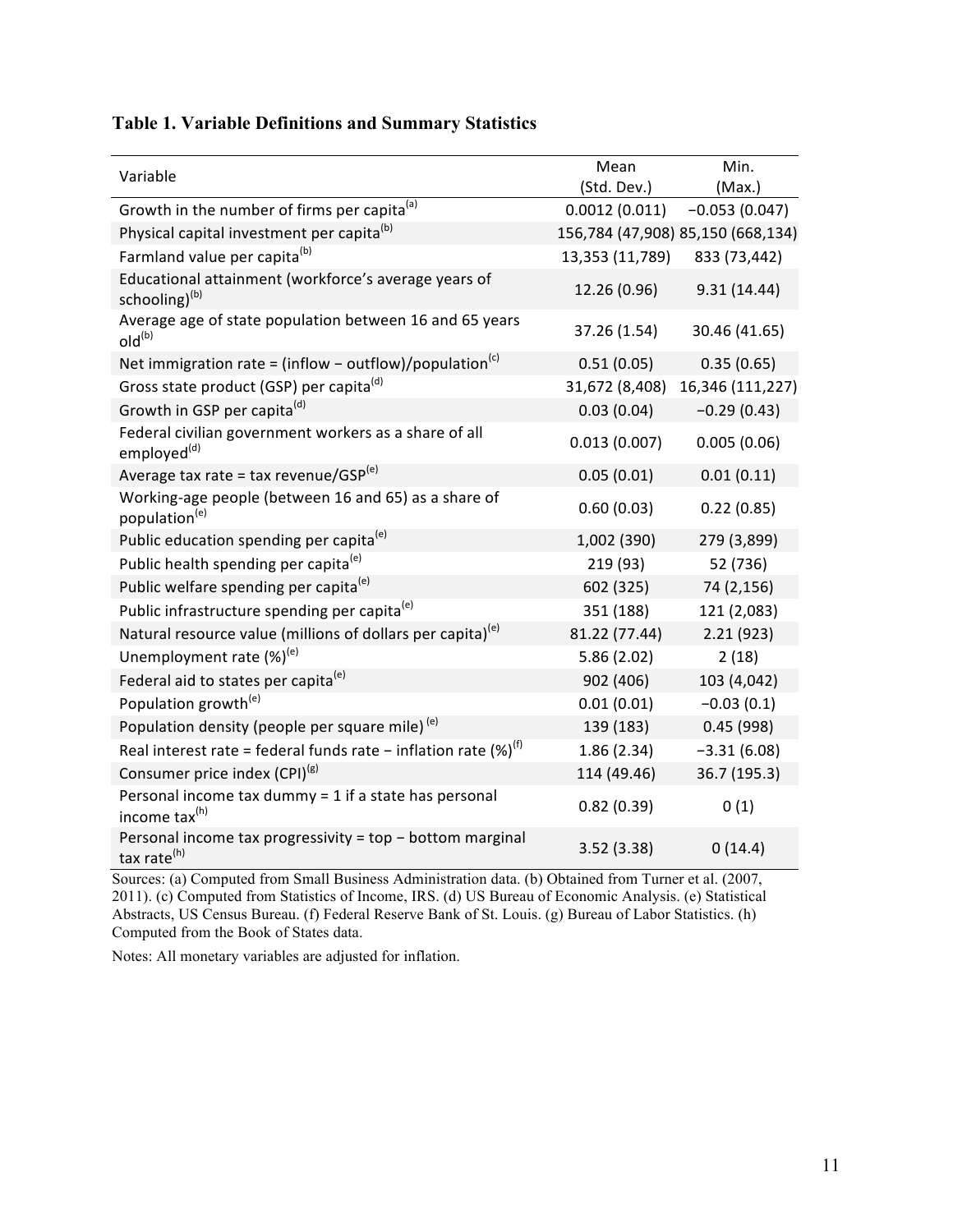|                                                                                      | Mean            | Min.                              |
|--------------------------------------------------------------------------------------|-----------------|-----------------------------------|
| Variable                                                                             | (Std. Dev.)     | (Max.)                            |
| Growth in the number of firms per capita <sup>(a)</sup>                              | 0.0012(0.011)   | $-0.053(0.047)$                   |
| Physical capital investment per capita <sup>(b)</sup>                                |                 | 156,784 (47,908) 85,150 (668,134) |
| Farmland value per capita <sup>(b)</sup>                                             | 13,353 (11,789) | 833 (73,442)                      |
| Educational attainment (workforce's average years of<br>schooling) <sup>(b)</sup>    | 12.26 (0.96)    | 9.31(14.44)                       |
| Average age of state population between 16 and 65 years<br>$old^{(b)}$               | 37.26 (1.54)    | 30.46 (41.65)                     |
| Net immigration rate = (inflow - outflow)/population <sup>(c)</sup>                  | 0.51(0.05)      | 0.35(0.65)                        |
| Gross state product (GSP) per capita <sup>(d)</sup>                                  | 31,672 (8,408)  | 16,346 (111,227)                  |
| Growth in GSP per capita <sup>(d)</sup>                                              | 0.03(0.04)      | $-0.29(0.43)$                     |
| Federal civilian government workers as a share of all<br>employed <sup>(d)</sup>     | 0.013(0.007)    | 0.005(0.06)                       |
| Average tax rate = tax revenue/GSP <sup>(e)</sup>                                    | 0.05(0.01)      | 0.01(0.11)                        |
| Working-age people (between 16 and 65) as a share of<br>population <sup>(e)</sup>    | 0.60(0.03)      | 0.22(0.85)                        |
| Public education spending per capita <sup>(e)</sup>                                  | 1,002 (390)     | 279 (3,899)                       |
| Public health spending per capita <sup>(e)</sup>                                     | 219 (93)        | 52 (736)                          |
| Public welfare spending per capita <sup>(e)</sup>                                    | 602 (325)       | 74 (2,156)                        |
| Public infrastructure spending per capita <sup>(e)</sup>                             | 351 (188)       | 121 (2,083)                       |
| Natural resource value (millions of dollars per capita) <sup>(e)</sup>               | 81.22 (77.44)   | 2.21(923)                         |
| Unemployment rate $(\%)^{(e)}$                                                       | 5.86(2.02)      | 2(18)                             |
| Federal aid to states per capita <sup>(e)</sup>                                      | 902 (406)       | 103 (4,042)                       |
| Population growth <sup>(e)</sup>                                                     | 0.01(0.01)      | $-0.03(0.1)$                      |
| Population density (people per square mile) <sup>(e)</sup>                           | 139 (183)       | 0.45(998)                         |
| Real interest rate = federal funds rate - inflation rate $(\%)^{(f)}$                | 1.86(2.34)      | $-3.31(6.08)$                     |
| Consumer price index (CPI) <sup>(g)</sup>                                            | 114 (49.46)     | 36.7 (195.3)                      |
| Personal income tax dummy = 1 if a state has personal<br>income tax <sup>(h)</sup>   | 0.82(0.39)      | 0(1)                              |
| Personal income tax progressivity = top - bottom marginal<br>tax rate <sup>(h)</sup> | 3.52(3.38)      | 0(14.4)                           |

Sources: (a) Computed from Small Business Administration data. (b) Obtained from Turner et al. (2007, 2011). (c) Computed from Statistics of Income, IRS. (d) US Bureau of Economic Analysis. (e) Statistical Abstracts, US Census Bureau. (f) Federal Reserve Bank of St. Louis. (g) Bureau of Labor Statistics. (h) Computed from the Book of States data.

Notes: All monetary variables are adjusted for inflation.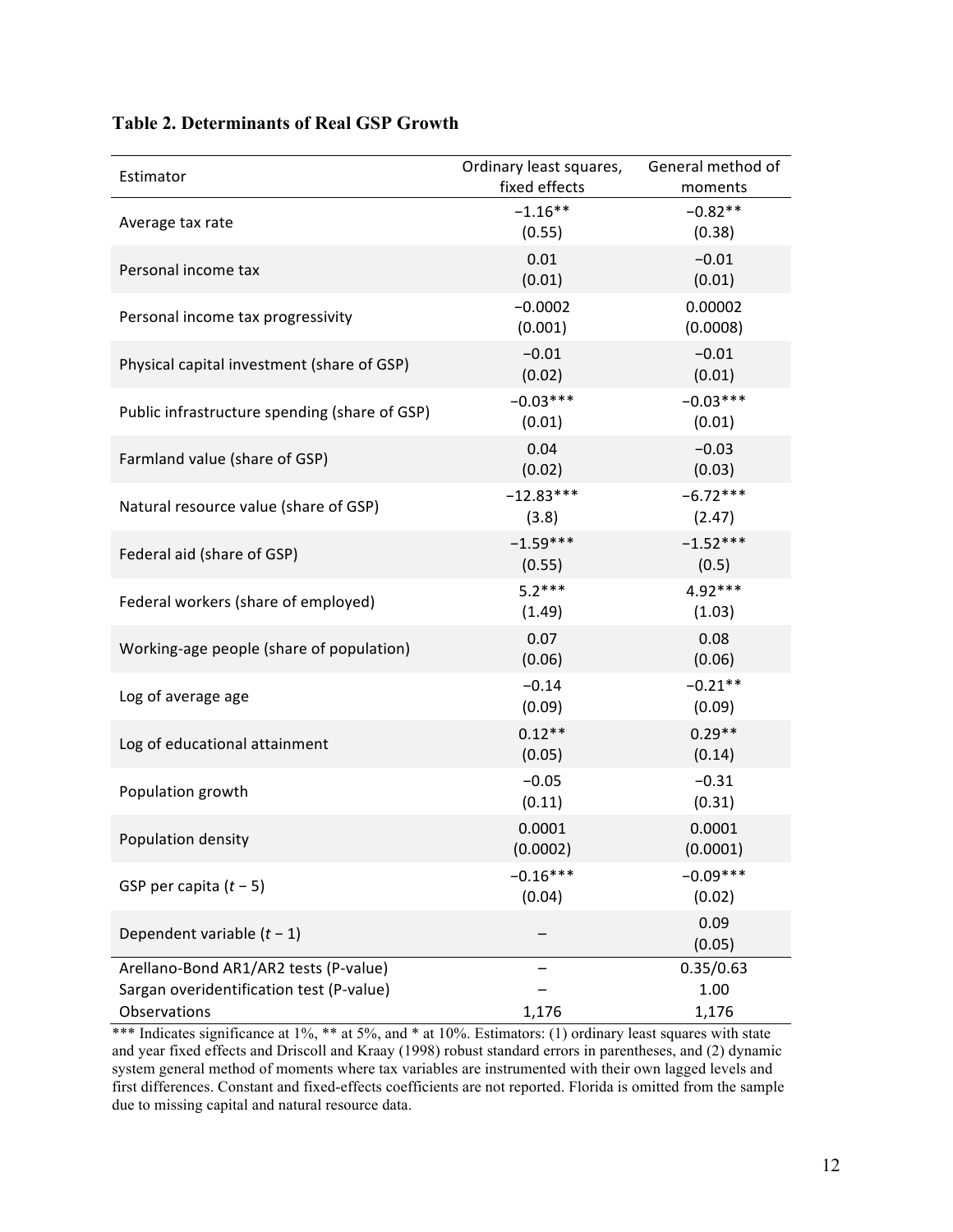| Estimator                                                                                         | Ordinary least squares,<br>fixed effects | General method of<br>moments |
|---------------------------------------------------------------------------------------------------|------------------------------------------|------------------------------|
| Average tax rate                                                                                  | $-1.16**$<br>(0.55)                      | $-0.82**$<br>(0.38)          |
| Personal income tax                                                                               | 0.01<br>(0.01)                           | $-0.01$<br>(0.01)            |
| Personal income tax progressivity                                                                 | $-0.0002$<br>(0.001)                     | 0.00002<br>(0.0008)          |
| Physical capital investment (share of GSP)                                                        | $-0.01$<br>(0.02)                        | $-0.01$<br>(0.01)            |
| Public infrastructure spending (share of GSP)                                                     | $-0.03***$<br>(0.01)                     | $-0.03***$<br>(0.01)         |
| Farmland value (share of GSP)                                                                     | 0.04<br>(0.02)                           | $-0.03$<br>(0.03)            |
| Natural resource value (share of GSP)                                                             | $-12.83***$<br>(3.8)                     | $-6.72***$<br>(2.47)         |
| Federal aid (share of GSP)                                                                        | $-1.59***$<br>(0.55)                     | $-1.52***$<br>(0.5)          |
| Federal workers (share of employed)                                                               | $5.2***$<br>(1.49)                       | $4.92***$<br>(1.03)          |
| Working-age people (share of population)                                                          | 0.07<br>(0.06)                           | 0.08<br>(0.06)               |
| Log of average age                                                                                | $-0.14$<br>(0.09)                        | $-0.21**$<br>(0.09)          |
| Log of educational attainment                                                                     | $0.12**$<br>(0.05)                       | $0.29**$<br>(0.14)           |
| Population growth                                                                                 | $-0.05$<br>(0.11)                        | $-0.31$<br>(0.31)            |
| Population density                                                                                | 0.0001<br>(0.0002)                       | 0.0001<br>(0.0001)           |
| GSP per capita $(t - 5)$                                                                          | $-0.16***$<br>(0.04)                     | $-0.09***$<br>(0.02)         |
| Dependent variable $(t - 1)$                                                                      |                                          | 0.09<br>(0.05)               |
| Arellano-Bond AR1/AR2 tests (P-value)<br>Sargan overidentification test (P-value)<br>Observations | 1,176                                    | 0.35/0.63<br>1.00<br>1,176   |

## **Table 2. Determinants of Real GSP Growth**

\*\*\* Indicates significance at 1%, \*\* at 5%, and \* at 10%. Estimators: (1) ordinary least squares with state and year fixed effects and Driscoll and Kraay (1998) robust standard errors in parentheses, and (2) dynamic system general method of moments where tax variables are instrumented with their own lagged levels and first differences. Constant and fixed-effects coefficients are not reported. Florida is omitted from the sample due to missing capital and natural resource data.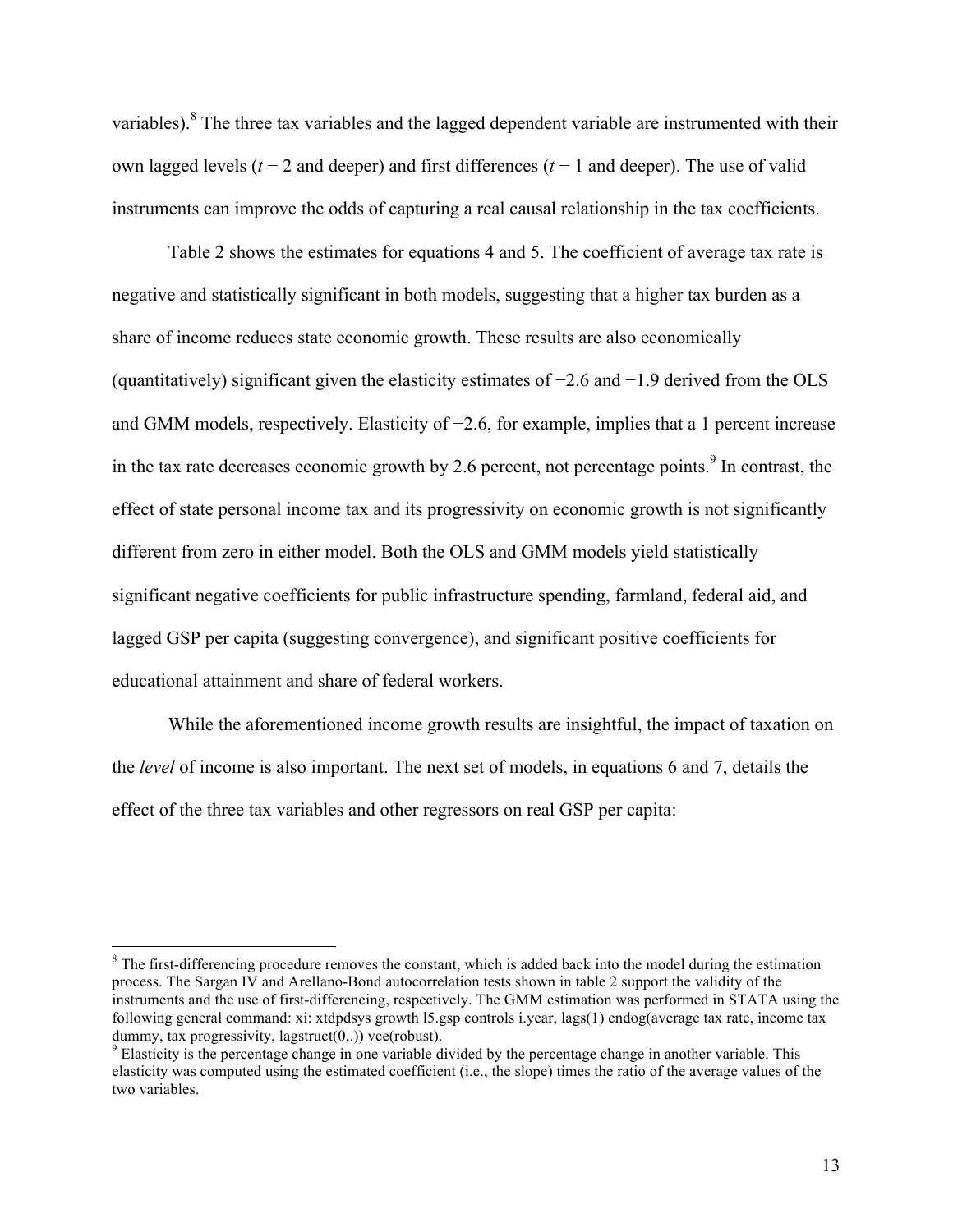variables).<sup>8</sup> The three tax variables and the lagged dependent variable are instrumented with their own lagged levels (*t* − 2 and deeper) and first differences (*t* − 1 and deeper). The use of valid instruments can improve the odds of capturing a real causal relationship in the tax coefficients.

Table 2 shows the estimates for equations 4 and 5. The coefficient of average tax rate is negative and statistically significant in both models, suggesting that a higher tax burden as a share of income reduces state economic growth. These results are also economically (quantitatively) significant given the elasticity estimates of −2.6 and −1.9 derived from the OLS and GMM models, respectively. Elasticity of −2.6, for example, implies that a 1 percent increase in the tax rate decreases economic growth by 2.6 percent, not percentage points.<sup>9</sup> In contrast, the effect of state personal income tax and its progressivity on economic growth is not significantly different from zero in either model. Both the OLS and GMM models yield statistically significant negative coefficients for public infrastructure spending, farmland, federal aid, and lagged GSP per capita (suggesting convergence), and significant positive coefficients for educational attainment and share of federal workers.

While the aforementioned income growth results are insightful, the impact of taxation on the *level* of income is also important. The next set of models, in equations 6 and 7, details the effect of the three tax variables and other regressors on real GSP per capita:

 $8$  The first-differencing procedure removes the constant, which is added back into the model during the estimation process. The Sargan IV and Arellano-Bond autocorrelation tests shown in table 2 support the validity of the instruments and the use of first-differencing, respectively. The GMM estimation was performed in STATA using the following general command: xi: xtdpdsys growth l5.gsp controls i.year, lags(1) endog(average tax rate, income tax dummy, tax progressivity, lagstruct(0,.)) vce(robust).<br><sup>9</sup> Elasticity is the percentage change in one variable divided by the percentage change in another variable. This

elasticity was computed using the estimated coefficient (i.e., the slope) times the ratio of the average values of the two variables.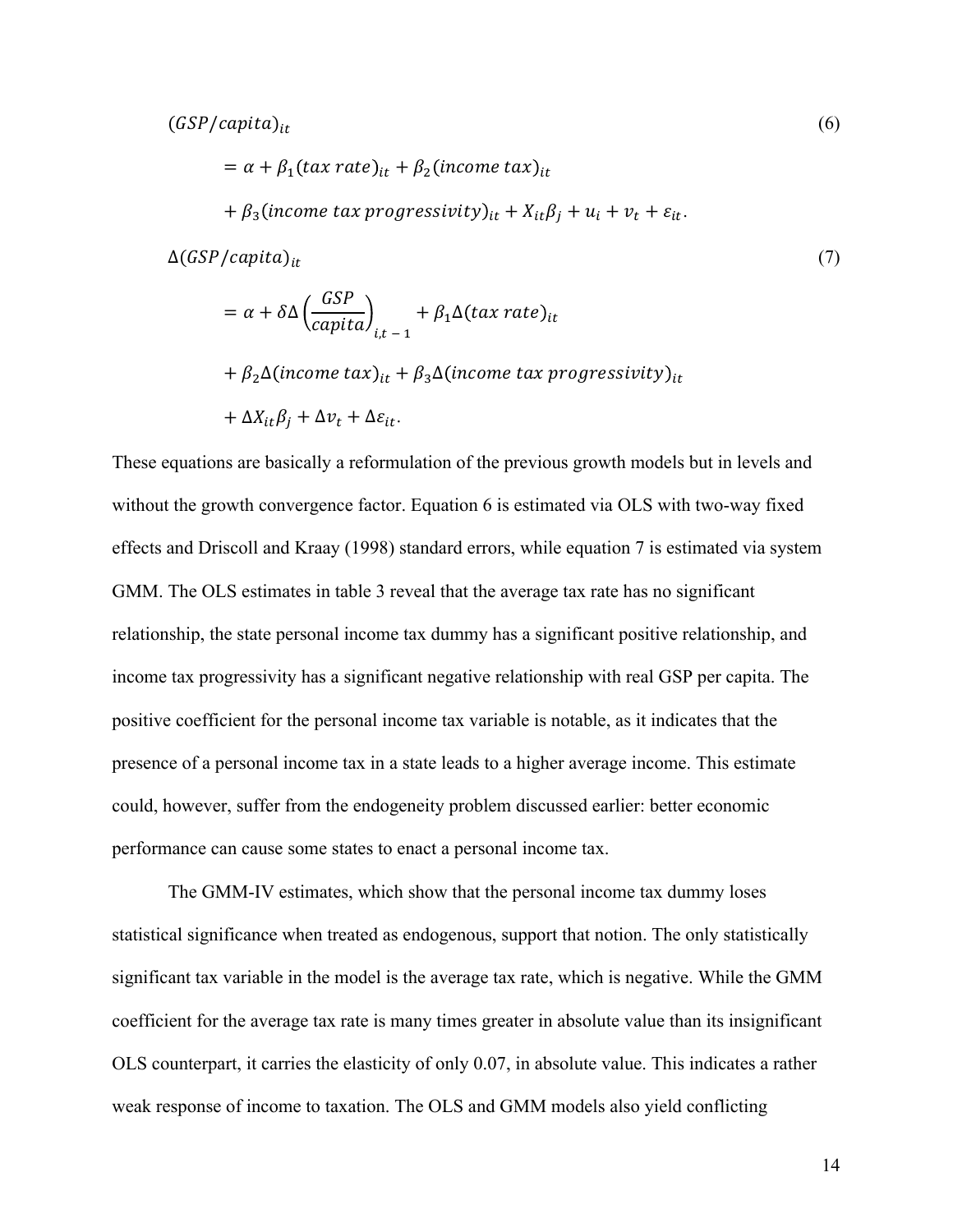$= \alpha + \beta_1 (tax\ rate)_{it} + \beta_2 (income\ tax)_{it}$  $+ \beta_3$ (income tax progressivity)<sub>it</sub>  $+ X_{it} \beta_j + u_i + v_t + \varepsilon_{it}$ .  $\Delta(GSP/capita)_{it}$  (7)  $= \alpha + \delta \Delta$ GSP  $\left(\frac{dS}{capita}\right)_{i,t-1}$  +  $\beta_1\Delta(tax\ rate)_{it}$ 

 $+ \beta_2 \Delta (income tax)_{it} + \beta_3 \Delta (income tax progressivity)_{it}$ 

$$
+\Delta X_{it}\beta_j+\Delta v_t+\Delta\varepsilon_{it}.
$$

These equations are basically a reformulation of the previous growth models but in levels and without the growth convergence factor. Equation 6 is estimated via OLS with two-way fixed effects and Driscoll and Kraay (1998) standard errors, while equation 7 is estimated via system GMM. The OLS estimates in table 3 reveal that the average tax rate has no significant relationship, the state personal income tax dummy has a significant positive relationship, and income tax progressivity has a significant negative relationship with real GSP per capita. The positive coefficient for the personal income tax variable is notable, as it indicates that the presence of a personal income tax in a state leads to a higher average income. This estimate could, however, suffer from the endogeneity problem discussed earlier: better economic performance can cause some states to enact a personal income tax.

The GMM-IV estimates, which show that the personal income tax dummy loses statistical significance when treated as endogenous, support that notion. The only statistically significant tax variable in the model is the average tax rate, which is negative. While the GMM coefficient for the average tax rate is many times greater in absolute value than its insignificant OLS counterpart, it carries the elasticity of only 0.07, in absolute value. This indicates a rather weak response of income to taxation. The OLS and GMM models also yield conflicting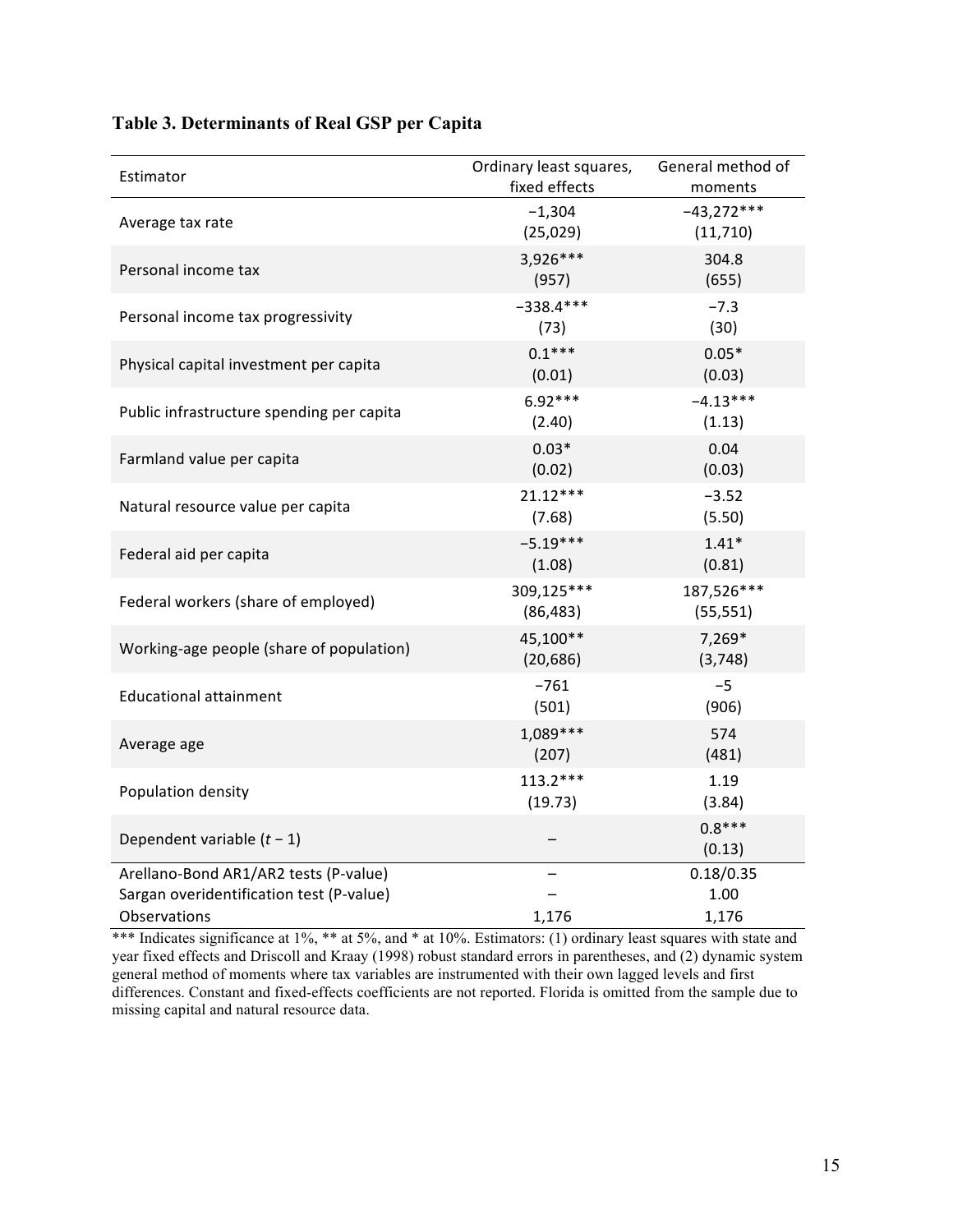| Estimator                                                                                         | Ordinary least squares,<br>fixed effects | General method of<br>moments |
|---------------------------------------------------------------------------------------------------|------------------------------------------|------------------------------|
| Average tax rate                                                                                  | $-1,304$<br>(25, 029)                    | $-43,272***$<br>(11, 710)    |
| Personal income tax                                                                               | 3,926***<br>(957)                        | 304.8<br>(655)               |
| Personal income tax progressivity                                                                 | $-338.4***$<br>(73)                      | $-7.3$<br>(30)               |
| Physical capital investment per capita                                                            | $0.1***$<br>(0.01)                       | $0.05*$<br>(0.03)            |
| Public infrastructure spending per capita                                                         | $6.92***$<br>(2.40)                      | $-4.13***$<br>(1.13)         |
| Farmland value per capita                                                                         | $0.03*$<br>(0.02)                        | 0.04<br>(0.03)               |
| Natural resource value per capita                                                                 | $21.12***$<br>(7.68)                     | $-3.52$<br>(5.50)            |
| Federal aid per capita                                                                            | $-5.19***$<br>(1.08)                     | $1.41*$<br>(0.81)            |
| Federal workers (share of employed)                                                               | 309,125***<br>(86, 483)                  | 187,526***<br>(55, 551)      |
| Working-age people (share of population)                                                          | 45,100**<br>(20, 686)                    | 7,269*<br>(3,748)            |
| <b>Educational attainment</b>                                                                     | $-761$<br>(501)                          | $-5$<br>(906)                |
| Average age                                                                                       | $1,089***$<br>(207)                      | 574<br>(481)                 |
| Population density                                                                                | $113.2***$<br>(19.73)                    | 1.19<br>(3.84)               |
| Dependent variable $(t - 1)$                                                                      |                                          | $0.8***$<br>(0.13)           |
| Arellano-Bond AR1/AR2 tests (P-value)<br>Sargan overidentification test (P-value)<br>Observations | 1,176                                    | 0.18/0.35<br>1.00<br>1,176   |

## **Table 3. Determinants of Real GSP per Capita**

\*\*\* Indicates significance at 1%, \*\* at 5%, and \* at 10%. Estimators: (1) ordinary least squares with state and year fixed effects and Driscoll and Kraay (1998) robust standard errors in parentheses, and (2) dynamic system general method of moments where tax variables are instrumented with their own lagged levels and first differences. Constant and fixed-effects coefficients are not reported. Florida is omitted from the sample due to missing capital and natural resource data.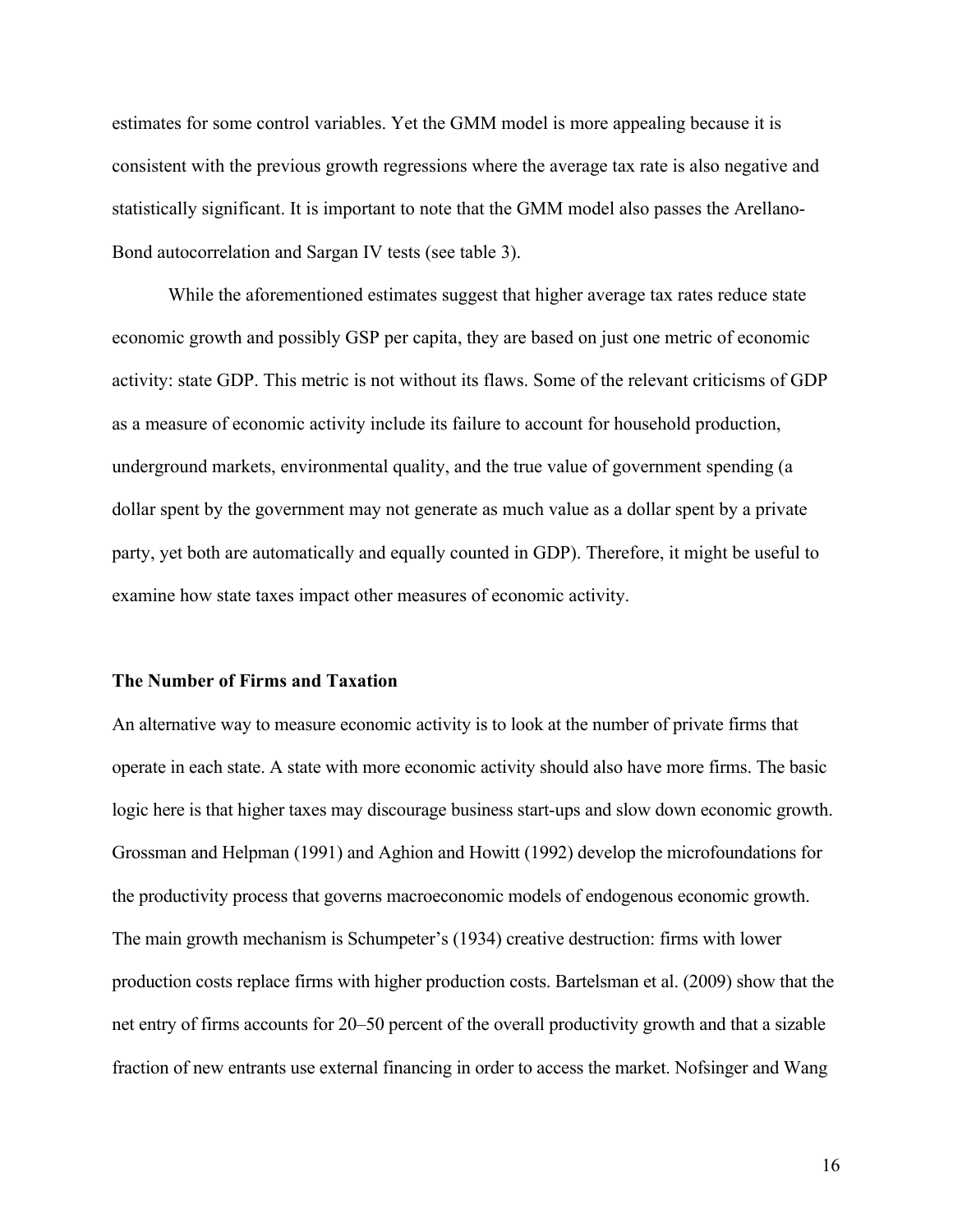estimates for some control variables. Yet the GMM model is more appealing because it is consistent with the previous growth regressions where the average tax rate is also negative and statistically significant. It is important to note that the GMM model also passes the Arellano-Bond autocorrelation and Sargan IV tests (see table 3).

While the aforementioned estimates suggest that higher average tax rates reduce state economic growth and possibly GSP per capita, they are based on just one metric of economic activity: state GDP. This metric is not without its flaws. Some of the relevant criticisms of GDP as a measure of economic activity include its failure to account for household production, underground markets, environmental quality, and the true value of government spending (a dollar spent by the government may not generate as much value as a dollar spent by a private party, yet both are automatically and equally counted in GDP). Therefore, it might be useful to examine how state taxes impact other measures of economic activity.

#### **The Number of Firms and Taxation**

An alternative way to measure economic activity is to look at the number of private firms that operate in each state. A state with more economic activity should also have more firms. The basic logic here is that higher taxes may discourage business start-ups and slow down economic growth. Grossman and Helpman (1991) and Aghion and Howitt (1992) develop the microfoundations for the productivity process that governs macroeconomic models of endogenous economic growth. The main growth mechanism is Schumpeter's (1934) creative destruction: firms with lower production costs replace firms with higher production costs. Bartelsman et al. (2009) show that the net entry of firms accounts for 20–50 percent of the overall productivity growth and that a sizable fraction of new entrants use external financing in order to access the market. Nofsinger and Wang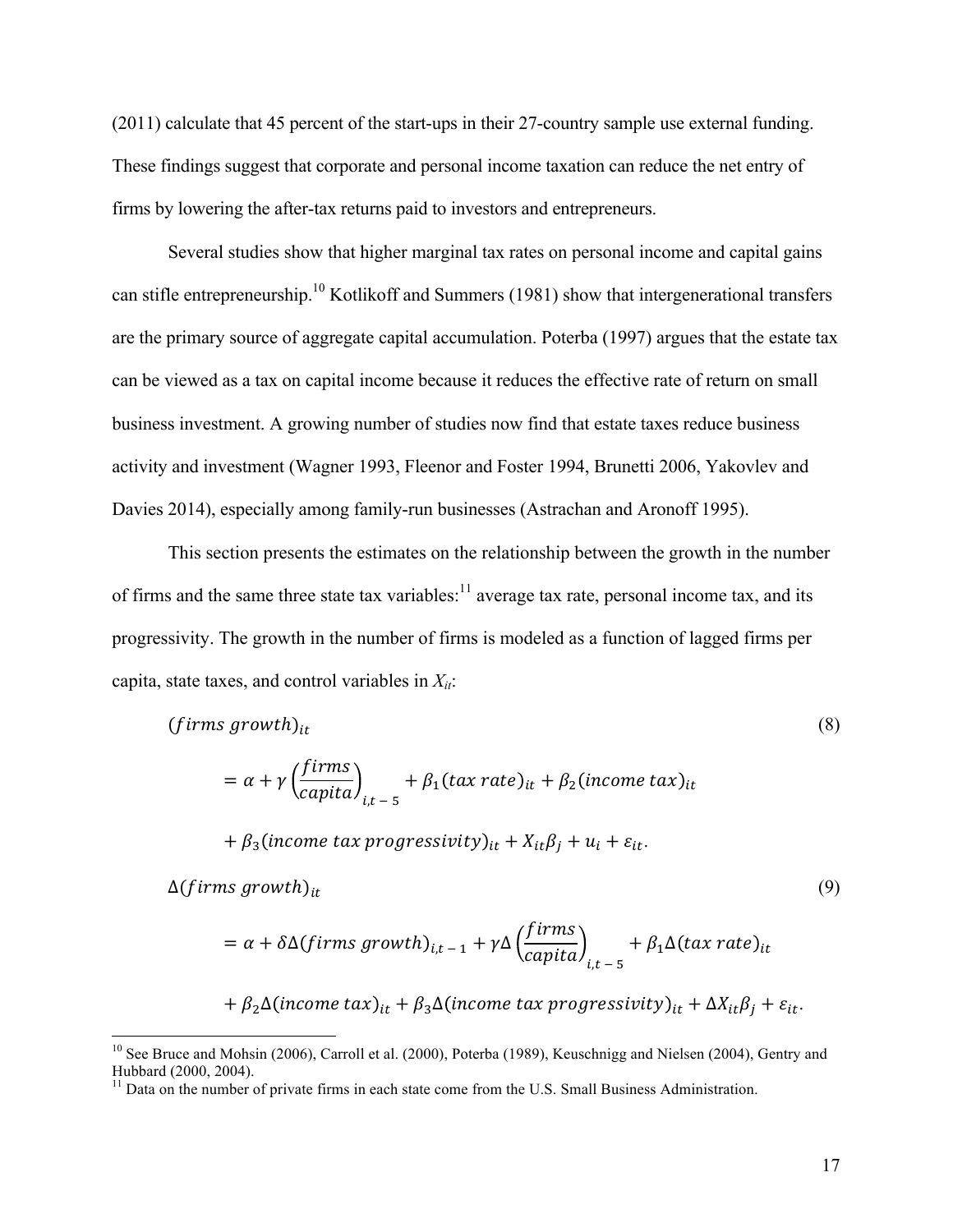(2011) calculate that 45 percent of the start-ups in their 27-country sample use external funding. These findings suggest that corporate and personal income taxation can reduce the net entry of firms by lowering the after-tax returns paid to investors and entrepreneurs.

Several studies show that higher marginal tax rates on personal income and capital gains can stifle entrepreneurship.10 Kotlikoff and Summers (1981) show that intergenerational transfers are the primary source of aggregate capital accumulation. Poterba (1997) argues that the estate tax can be viewed as a tax on capital income because it reduces the effective rate of return on small business investment. A growing number of studies now find that estate taxes reduce business activity and investment (Wagner 1993, Fleenor and Foster 1994, Brunetti 2006, Yakovlev and Davies 2014), especially among family-run businesses (Astrachan and Aronoff 1995).

This section presents the estimates on the relationship between the growth in the number of firms and the same three state tax variables: $\frac{11}{11}$  average tax rate, personal income tax, and its progressivity. The growth in the number of firms is modeled as a function of lagged firms per capita, state taxes, and control variables in  $X_{it}$ :

$$
(firms growth)_{it}
$$
\n
$$
= \alpha + \gamma \left(\frac{firms}{capita}\right)_{i,t-5} + \beta_1 (tax rate)_{it} + \beta_2 (income tax)_{it}
$$
\n
$$
+ \beta_3 (income tax progressivity)_{it} + X_{it}\beta_i + u_i + \varepsilon_{it}.
$$
\n
$$
(8)
$$

$$
\Delta(firms\ growth)_{it} \tag{9}
$$

$$
= \alpha + \delta \Delta(firms\ growth)_{i,t-1} + \gamma \Delta \left(\frac{firms}{capital}\right)_{i,t-5} + \beta_1 \Delta (tax\ rate)_{it}
$$

 $+ \beta_2 \Delta(income tax)_{it} + \beta_3 \Delta(income tax\,progressivity)_{it} + \Delta X_{it}\beta_j + \varepsilon_{it}.$ 

<sup>&</sup>lt;sup>10</sup> See Bruce and Mohsin (2006), Carroll et al. (2000), Poterba (1989), Keuschnigg and Nielsen (2004), Gentry and Hubbard (2000, 2004).

<sup>&</sup>lt;sup>11</sup> Data on the number of private firms in each state come from the U.S. Small Business Administration.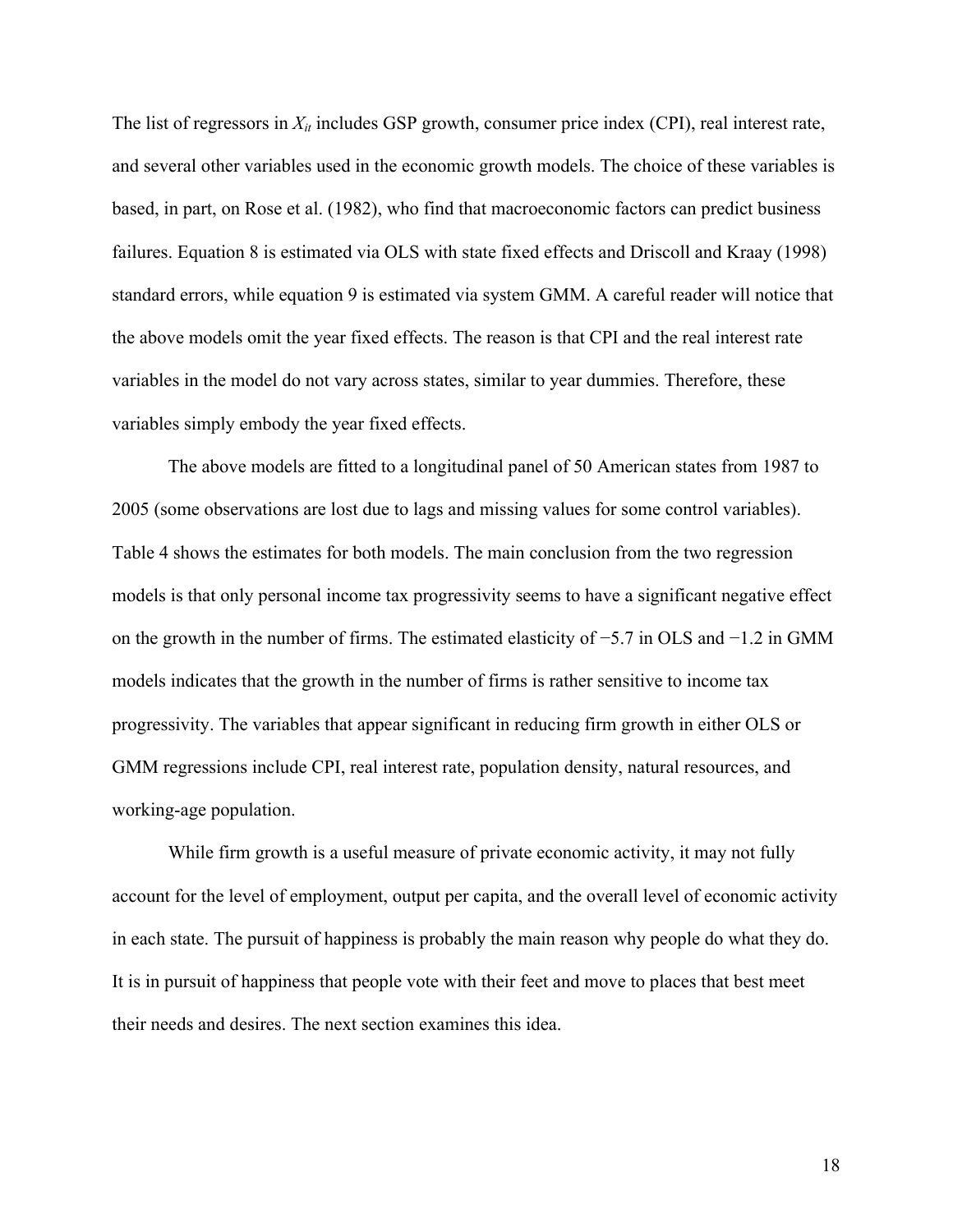The list of regressors in  $X_{it}$  includes GSP growth, consumer price index (CPI), real interest rate, and several other variables used in the economic growth models. The choice of these variables is based, in part, on Rose et al. (1982), who find that macroeconomic factors can predict business failures. Equation 8 is estimated via OLS with state fixed effects and Driscoll and Kraay (1998) standard errors, while equation 9 is estimated via system GMM. A careful reader will notice that the above models omit the year fixed effects. The reason is that CPI and the real interest rate variables in the model do not vary across states, similar to year dummies. Therefore, these variables simply embody the year fixed effects.

The above models are fitted to a longitudinal panel of 50 American states from 1987 to 2005 (some observations are lost due to lags and missing values for some control variables). Table 4 shows the estimates for both models. The main conclusion from the two regression models is that only personal income tax progressivity seems to have a significant negative effect on the growth in the number of firms. The estimated elasticity of −5.7 in OLS and −1.2 in GMM models indicates that the growth in the number of firms is rather sensitive to income tax progressivity. The variables that appear significant in reducing firm growth in either OLS or GMM regressions include CPI, real interest rate, population density, natural resources, and working-age population.

While firm growth is a useful measure of private economic activity, it may not fully account for the level of employment, output per capita, and the overall level of economic activity in each state. The pursuit of happiness is probably the main reason why people do what they do. It is in pursuit of happiness that people vote with their feet and move to places that best meet their needs and desires. The next section examines this idea.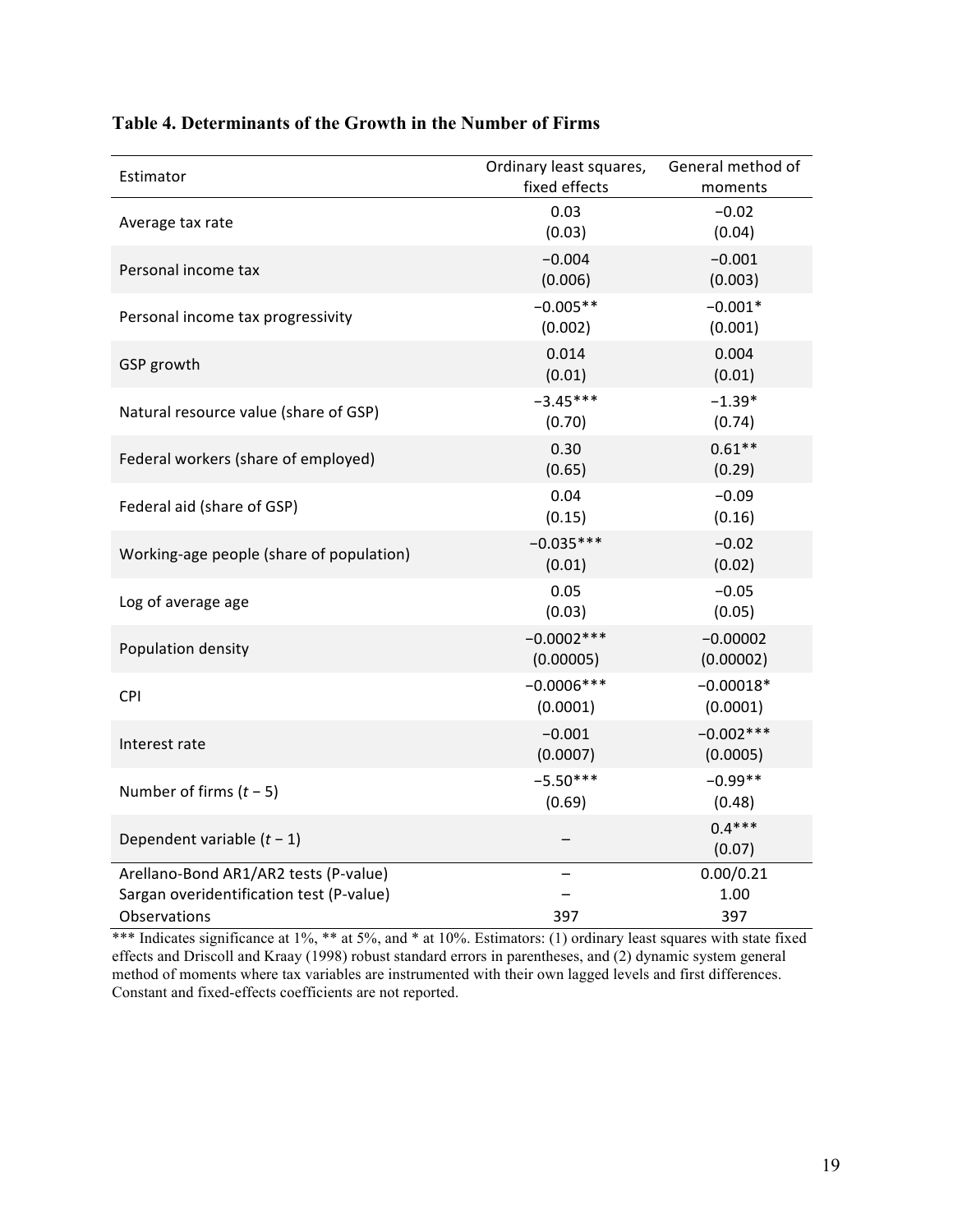| Estimator                                                                                         | Ordinary least squares,<br>fixed effects | General method of<br>moments |
|---------------------------------------------------------------------------------------------------|------------------------------------------|------------------------------|
| Average tax rate                                                                                  | 0.03<br>(0.03)                           | $-0.02$<br>(0.04)            |
| Personal income tax                                                                               | $-0.004$<br>(0.006)                      | $-0.001$<br>(0.003)          |
| Personal income tax progressivity                                                                 | $-0.005**$<br>(0.002)                    | $-0.001*$<br>(0.001)         |
| GSP growth                                                                                        | 0.014<br>(0.01)                          | 0.004<br>(0.01)              |
| Natural resource value (share of GSP)                                                             | $-3.45***$<br>(0.70)                     | $-1.39*$<br>(0.74)           |
| Federal workers (share of employed)                                                               | 0.30<br>(0.65)                           | $0.61**$<br>(0.29)           |
| Federal aid (share of GSP)                                                                        | 0.04<br>(0.15)                           | $-0.09$<br>(0.16)            |
| Working-age people (share of population)                                                          | $-0.035***$<br>(0.01)                    | $-0.02$<br>(0.02)            |
| Log of average age                                                                                | 0.05<br>(0.03)                           | $-0.05$<br>(0.05)            |
| Population density                                                                                | $-0.0002***$<br>(0.00005)                | $-0.00002$<br>(0.00002)      |
| CPI                                                                                               | $-0.0006***$<br>(0.0001)                 | $-0.00018*$<br>(0.0001)      |
| Interest rate                                                                                     | $-0.001$<br>(0.0007)                     | $-0.002***$<br>(0.0005)      |
| Number of firms $(t - 5)$                                                                         | $-5.50***$<br>(0.69)                     | $-0.99**$<br>(0.48)          |
| Dependent variable $(t - 1)$                                                                      |                                          | $0.4***$<br>(0.07)           |
| Arellano-Bond AR1/AR2 tests (P-value)<br>Sargan overidentification test (P-value)<br>Observations | 397                                      | 0.00/0.21<br>1.00<br>397     |

## **Table 4. Determinants of the Growth in the Number of Firms**

\*\*\* Indicates significance at 1%, \*\* at 5%, and \* at 10%. Estimators: (1) ordinary least squares with state fixed effects and Driscoll and Kraay (1998) robust standard errors in parentheses, and (2) dynamic system general method of moments where tax variables are instrumented with their own lagged levels and first differences. Constant and fixed-effects coefficients are not reported.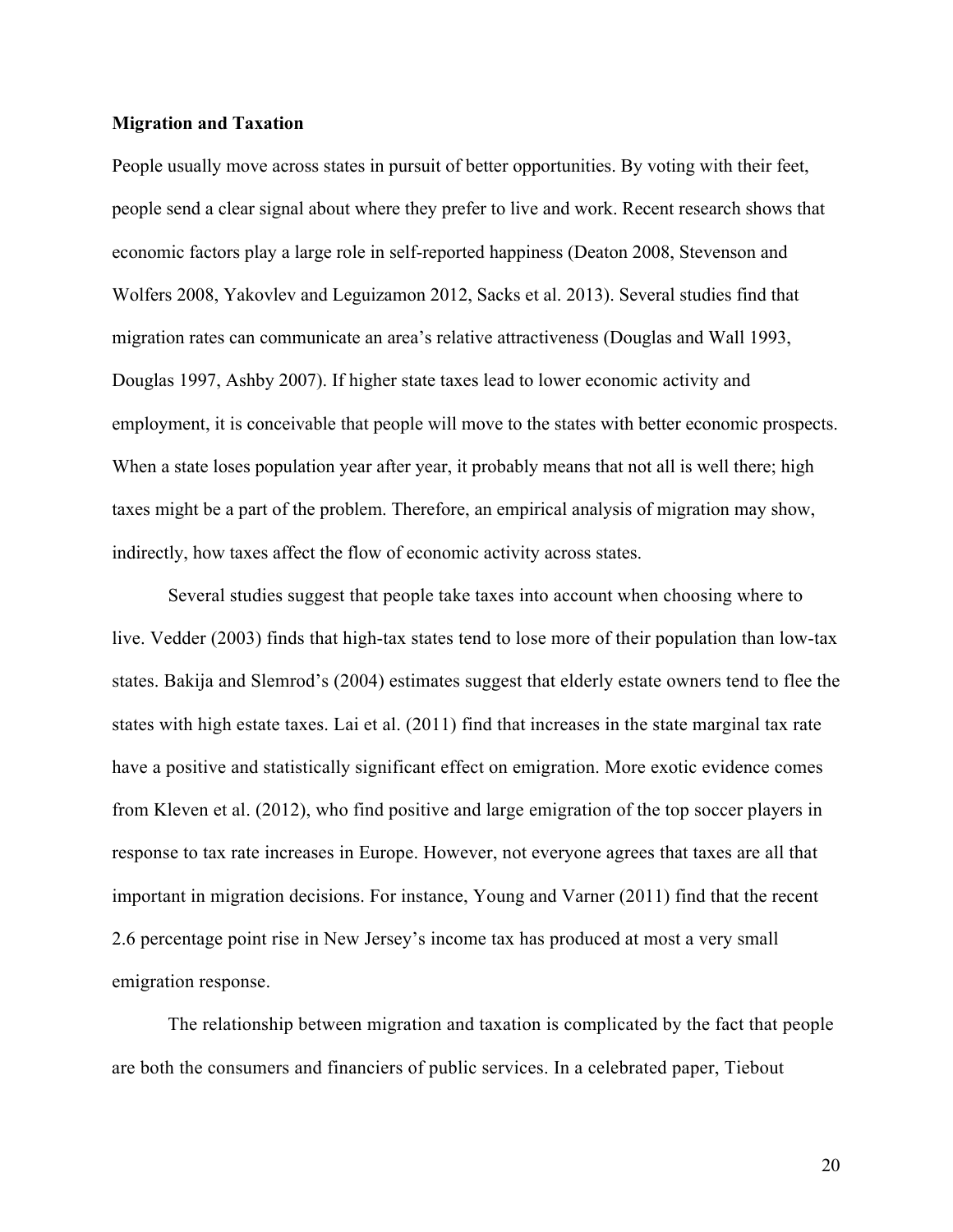## **Migration and Taxation**

People usually move across states in pursuit of better opportunities. By voting with their feet, people send a clear signal about where they prefer to live and work. Recent research shows that economic factors play a large role in self-reported happiness (Deaton 2008, Stevenson and Wolfers 2008, Yakovlev and Leguizamon 2012, Sacks et al. 2013). Several studies find that migration rates can communicate an area's relative attractiveness (Douglas and Wall 1993, Douglas 1997, Ashby 2007). If higher state taxes lead to lower economic activity and employment, it is conceivable that people will move to the states with better economic prospects. When a state loses population year after year, it probably means that not all is well there; high taxes might be a part of the problem. Therefore, an empirical analysis of migration may show, indirectly, how taxes affect the flow of economic activity across states.

Several studies suggest that people take taxes into account when choosing where to live. Vedder (2003) finds that high-tax states tend to lose more of their population than low-tax states. Bakija and Slemrod's (2004) estimates suggest that elderly estate owners tend to flee the states with high estate taxes. Lai et al. (2011) find that increases in the state marginal tax rate have a positive and statistically significant effect on emigration. More exotic evidence comes from Kleven et al. (2012), who find positive and large emigration of the top soccer players in response to tax rate increases in Europe. However, not everyone agrees that taxes are all that important in migration decisions. For instance, Young and Varner (2011) find that the recent 2.6 percentage point rise in New Jersey's income tax has produced at most a very small emigration response.

The relationship between migration and taxation is complicated by the fact that people are both the consumers and financiers of public services. In a celebrated paper, Tiebout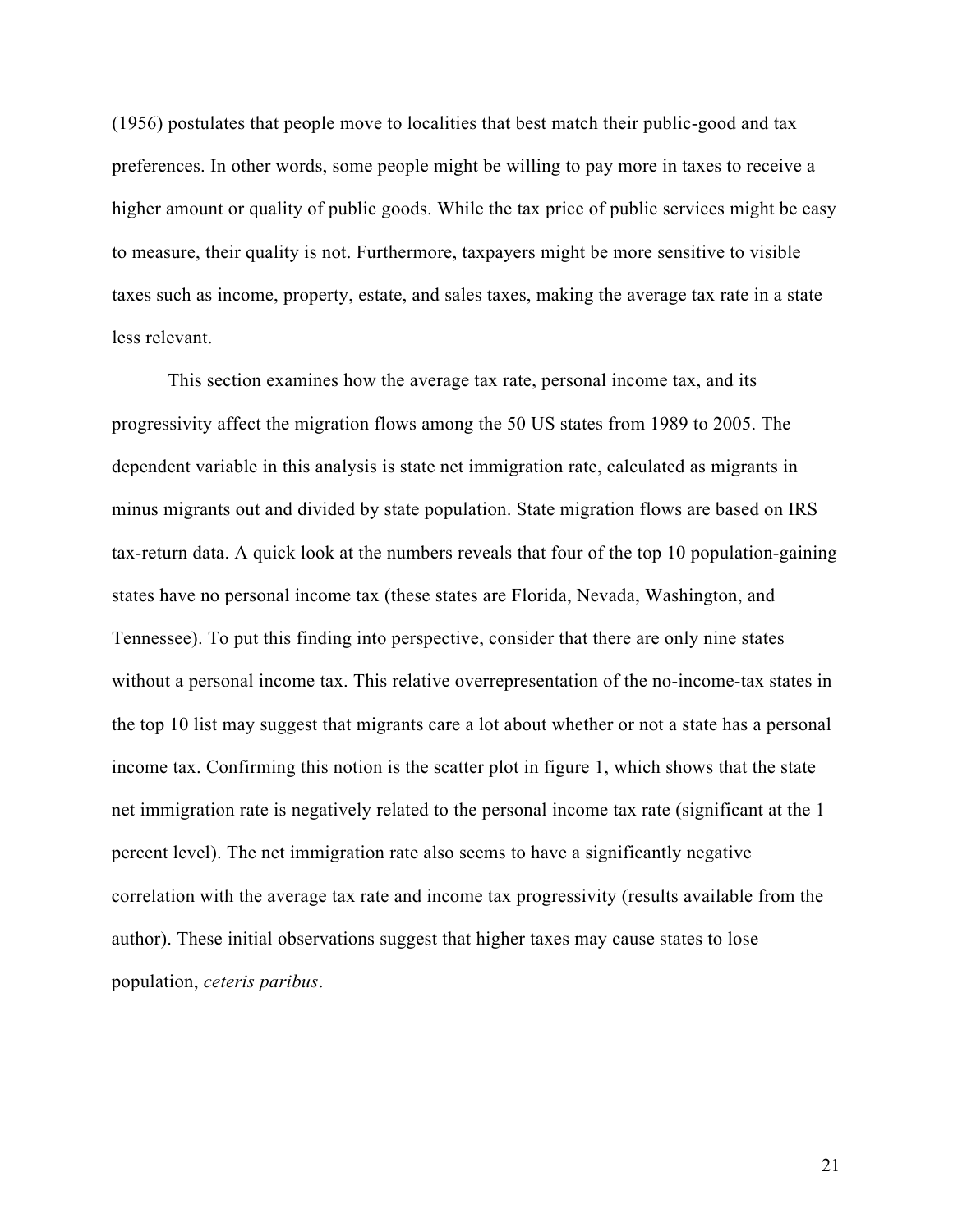(1956) postulates that people move to localities that best match their public-good and tax preferences. In other words, some people might be willing to pay more in taxes to receive a higher amount or quality of public goods. While the tax price of public services might be easy to measure, their quality is not. Furthermore, taxpayers might be more sensitive to visible taxes such as income, property, estate, and sales taxes, making the average tax rate in a state less relevant.

This section examines how the average tax rate, personal income tax, and its progressivity affect the migration flows among the 50 US states from 1989 to 2005. The dependent variable in this analysis is state net immigration rate, calculated as migrants in minus migrants out and divided by state population. State migration flows are based on IRS tax-return data. A quick look at the numbers reveals that four of the top 10 population-gaining states have no personal income tax (these states are Florida, Nevada, Washington, and Tennessee). To put this finding into perspective, consider that there are only nine states without a personal income tax. This relative overrepresentation of the no-income-tax states in the top 10 list may suggest that migrants care a lot about whether or not a state has a personal income tax. Confirming this notion is the scatter plot in figure 1, which shows that the state net immigration rate is negatively related to the personal income tax rate (significant at the 1 percent level). The net immigration rate also seems to have a significantly negative correlation with the average tax rate and income tax progressivity (results available from the author). These initial observations suggest that higher taxes may cause states to lose population, *ceteris paribus*.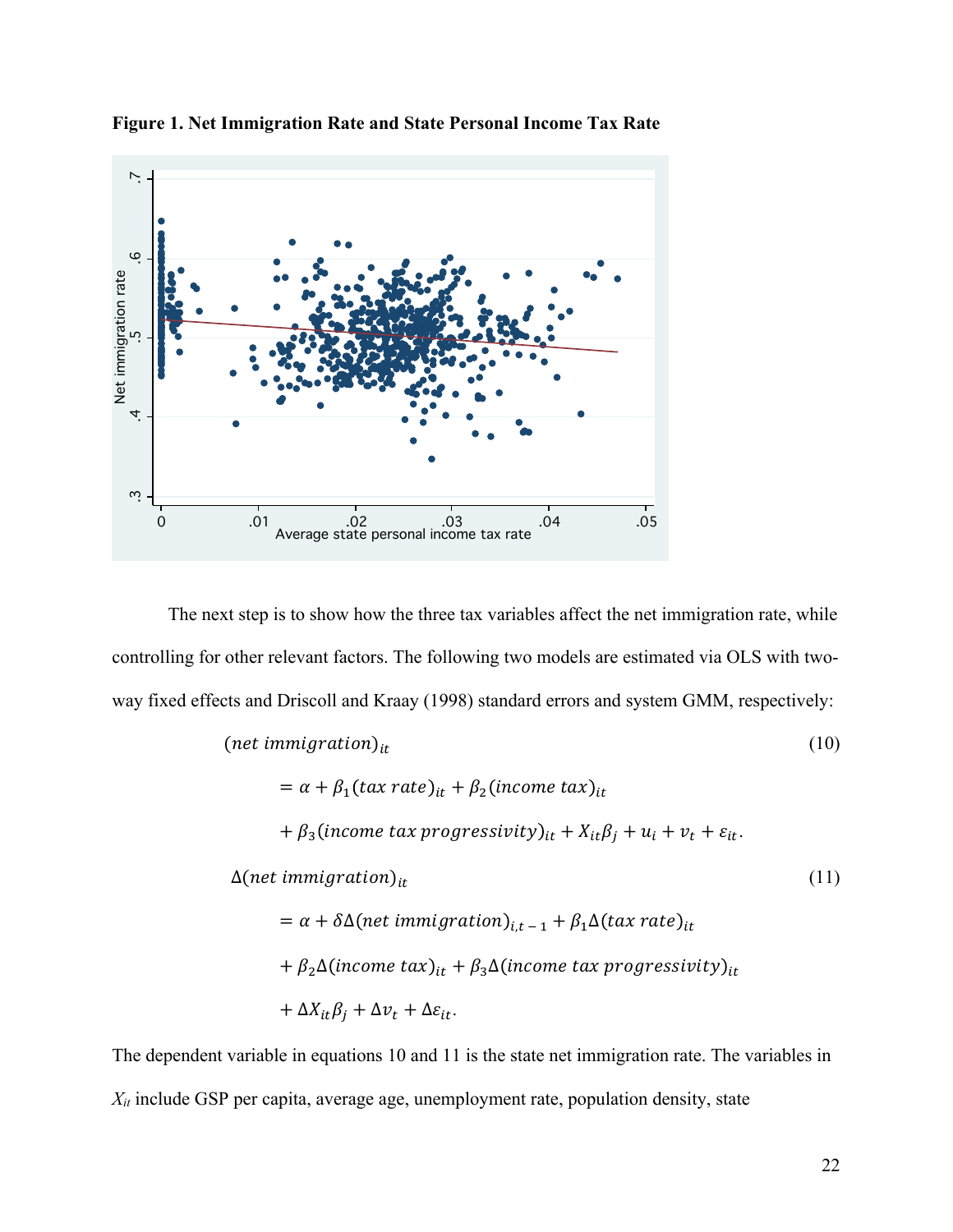

**Figure 1. Net Immigration Rate and State Personal Income Tax Rate**

The next step is to show how the three tax variables affect the net immigration rate, while controlling for other relevant factors. The following two models are estimated via OLS with twoway fixed effects and Driscoll and Kraay (1998) standard errors and system GMM, respectively:

$$
(net immigration)it = α + β1(tax rate)it + β2(income tax)it
$$
\n
$$
+ β3(income tax progressivity)it + Xitβj + ui + vt + εit.
$$
\n
$$
\Delta(net immigration)it
$$
\n
$$
= α + δΔ(net immigration)it + β1Δ(tax rate)it
$$
\n
$$
+ β2Δ(income tax)it + β3Δ(income tax progressivity)it
$$
\n
$$
+ ΔXitβj + Δvt + Δεit.
$$
\n(11)

The dependent variable in equations 10 and 11 is the state net immigration rate. The variables in *Xit* include GSP per capita, average age, unemployment rate, population density, state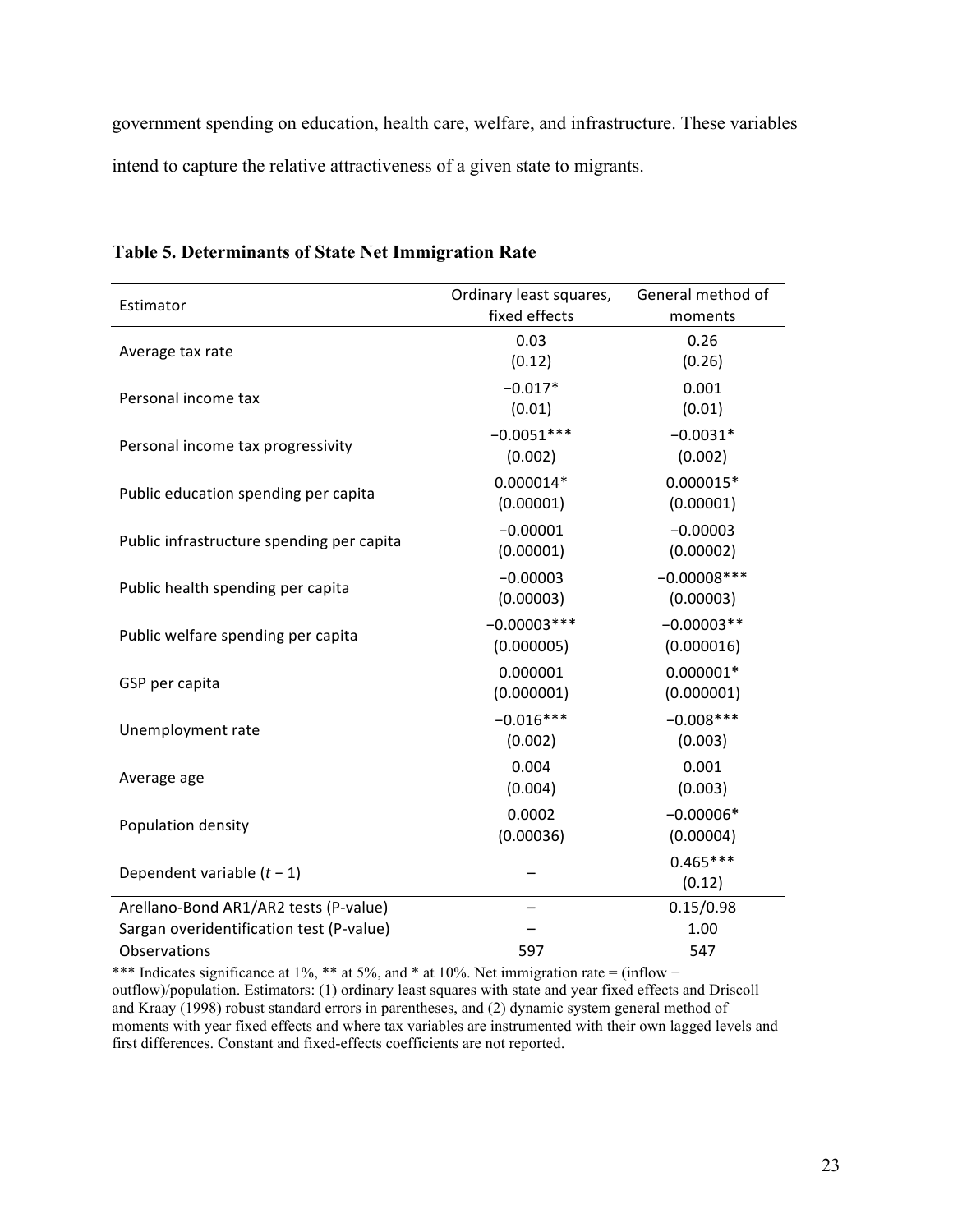government spending on education, health care, welfare, and infrastructure. These variables intend to capture the relative attractiveness of a given state to migrants.

| Estimator                                 | Ordinary least squares, | General method of |
|-------------------------------------------|-------------------------|-------------------|
|                                           | fixed effects           | moments           |
| Average tax rate                          | 0.03                    | 0.26              |
|                                           | (0.12)                  | (0.26)            |
| Personal income tax                       | $-0.017*$               | 0.001             |
|                                           | (0.01)                  | (0.01)            |
| Personal income tax progressivity         | $-0.0051***$            | $-0.0031*$        |
|                                           | (0.002)                 | (0.002)           |
| Public education spending per capita      | $0.000014*$             | $0.000015*$       |
|                                           | (0.00001)               | (0.00001)         |
| Public infrastructure spending per capita | $-0.00001$              | $-0.00003$        |
|                                           | (0.00001)               | (0.00002)         |
| Public health spending per capita         | $-0.00003$              | $-0.00008$ ***    |
|                                           | (0.00003)               | (0.00003)         |
|                                           | $-0.00003***$           | $-0.00003**$      |
| Public welfare spending per capita        | (0.000005)              | (0.000016)        |
| GSP per capita                            | 0.000001                | $0.000001*$       |
|                                           | (0.000001)              | (0.000001)        |
| Unemployment rate                         | $-0.016***$             | $-0.008***$       |
|                                           | (0.002)                 | (0.003)           |
| Average age                               | 0.004                   | 0.001             |
|                                           | (0.004)                 | (0.003)           |
| Population density                        | 0.0002                  | $-0.00006*$       |
|                                           | (0.00036)               | (0.00004)         |
| Dependent variable $(t - 1)$              |                         | $0.465***$        |
|                                           |                         | (0.12)            |
| Arellano-Bond AR1/AR2 tests (P-value)     |                         | 0.15/0.98         |
| Sargan overidentification test (P-value)  |                         | 1.00              |
| Observations                              | 597                     | 547               |

## **Table 5. Determinants of State Net Immigration Rate**

\*\*\* Indicates significance at 1%, \*\* at 5%, and \* at 10%. Net immigration rate = (inflow − outflow)/population. Estimators: (1) ordinary least squares with state and year fixed effects and Driscoll and Kraay (1998) robust standard errors in parentheses, and (2) dynamic system general method of moments with year fixed effects and where tax variables are instrumented with their own lagged levels and first differences. Constant and fixed-effects coefficients are not reported.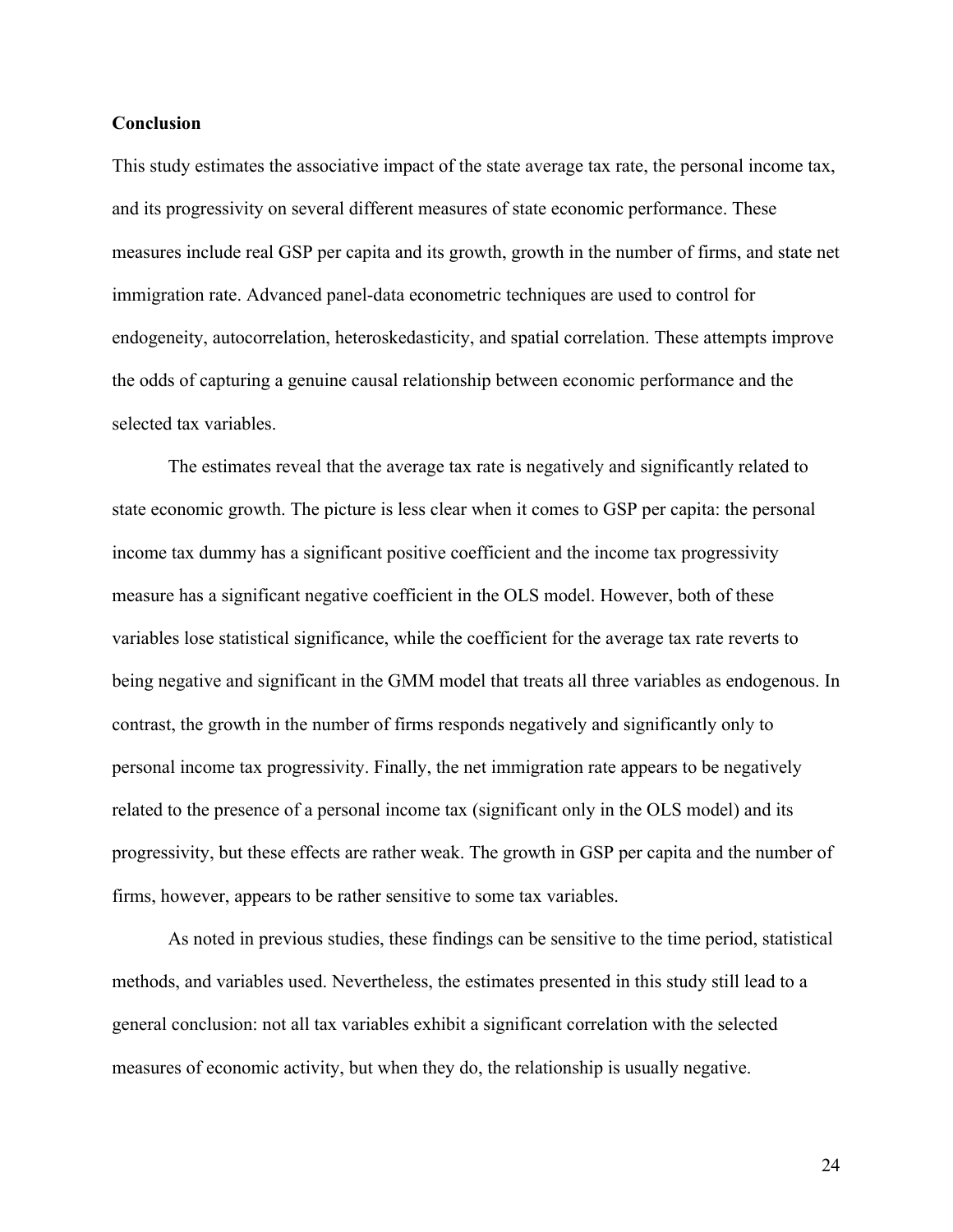### **Conclusion**

This study estimates the associative impact of the state average tax rate, the personal income tax, and its progressivity on several different measures of state economic performance. These measures include real GSP per capita and its growth, growth in the number of firms, and state net immigration rate. Advanced panel-data econometric techniques are used to control for endogeneity, autocorrelation, heteroskedasticity, and spatial correlation. These attempts improve the odds of capturing a genuine causal relationship between economic performance and the selected tax variables.

The estimates reveal that the average tax rate is negatively and significantly related to state economic growth. The picture is less clear when it comes to GSP per capita: the personal income tax dummy has a significant positive coefficient and the income tax progressivity measure has a significant negative coefficient in the OLS model. However, both of these variables lose statistical significance, while the coefficient for the average tax rate reverts to being negative and significant in the GMM model that treats all three variables as endogenous. In contrast, the growth in the number of firms responds negatively and significantly only to personal income tax progressivity. Finally, the net immigration rate appears to be negatively related to the presence of a personal income tax (significant only in the OLS model) and its progressivity, but these effects are rather weak. The growth in GSP per capita and the number of firms, however, appears to be rather sensitive to some tax variables.

As noted in previous studies, these findings can be sensitive to the time period, statistical methods, and variables used. Nevertheless, the estimates presented in this study still lead to a general conclusion: not all tax variables exhibit a significant correlation with the selected measures of economic activity, but when they do, the relationship is usually negative.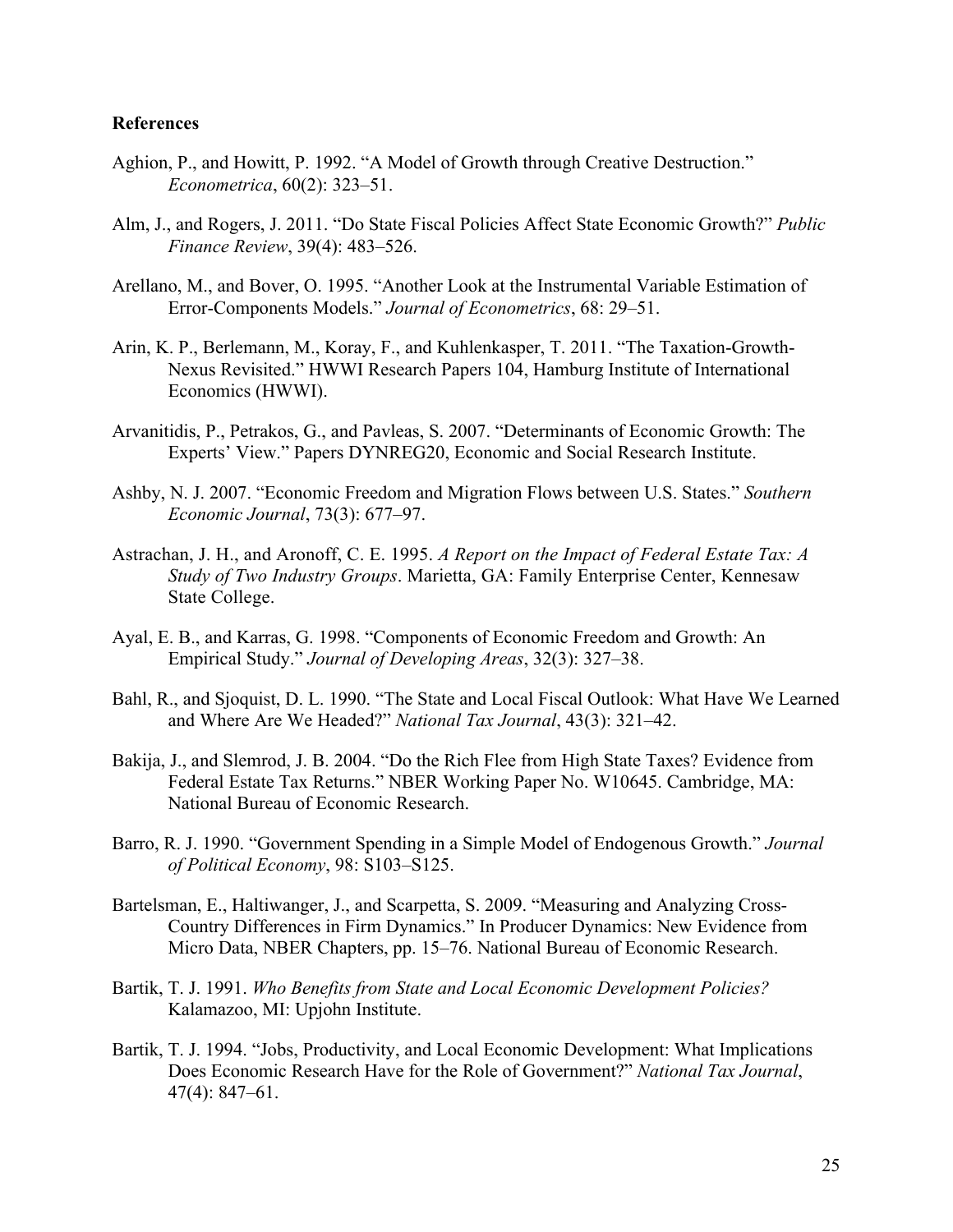## **References**

- Aghion, P., and Howitt, P. 1992. "A Model of Growth through Creative Destruction." *Econometrica*, 60(2): 323–51.
- Alm, J., and Rogers, J. 2011. "Do State Fiscal Policies Affect State Economic Growth?" *Public Finance Review*, 39(4): 483–526.
- Arellano, M., and Bover, O. 1995. "Another Look at the Instrumental Variable Estimation of Error-Components Models." *Journal of Econometrics*, 68: 29–51.
- Arin, K. P., Berlemann, M., Koray, F., and Kuhlenkasper, T. 2011. "The Taxation-Growth-Nexus Revisited." HWWI Research Papers 104, Hamburg Institute of International Economics (HWWI).
- Arvanitidis, P., Petrakos, G., and Pavleas, S. 2007. "Determinants of Economic Growth: The Experts' View." Papers DYNREG20, Economic and Social Research Institute.
- Ashby, N. J. 2007. "Economic Freedom and Migration Flows between U.S. States." *Southern Economic Journal*, 73(3): 677–97.
- Astrachan, J. H., and Aronoff, C. E. 1995. *A Report on the Impact of Federal Estate Tax: A Study of Two Industry Groups*. Marietta, GA: Family Enterprise Center, Kennesaw State College.
- Ayal, E. B., and Karras, G. 1998. "Components of Economic Freedom and Growth: An Empirical Study." *Journal of Developing Areas*, 32(3): 327–38.
- Bahl, R., and Sjoquist, D. L. 1990. "The State and Local Fiscal Outlook: What Have We Learned and Where Are We Headed?" *National Tax Journal*, 43(3): 321–42.
- Bakija, J., and Slemrod, J. B. 2004. "Do the Rich Flee from High State Taxes? Evidence from Federal Estate Tax Returns." NBER Working Paper No. W10645. Cambridge, MA: National Bureau of Economic Research.
- Barro, R. J. 1990. "Government Spending in a Simple Model of Endogenous Growth." *Journal of Political Economy*, 98: S103–S125.
- Bartelsman, E., Haltiwanger, J., and Scarpetta, S. 2009. "Measuring and Analyzing Cross-Country Differences in Firm Dynamics." In Producer Dynamics: New Evidence from Micro Data, NBER Chapters, pp. 15–76. National Bureau of Economic Research.
- Bartik, T. J. 1991. *Who Benefits from State and Local Economic Development Policies?*  Kalamazoo, MI: Upjohn Institute.
- Bartik, T. J. 1994. "Jobs, Productivity, and Local Economic Development: What Implications Does Economic Research Have for the Role of Government?" *National Tax Journal*, 47(4): 847–61.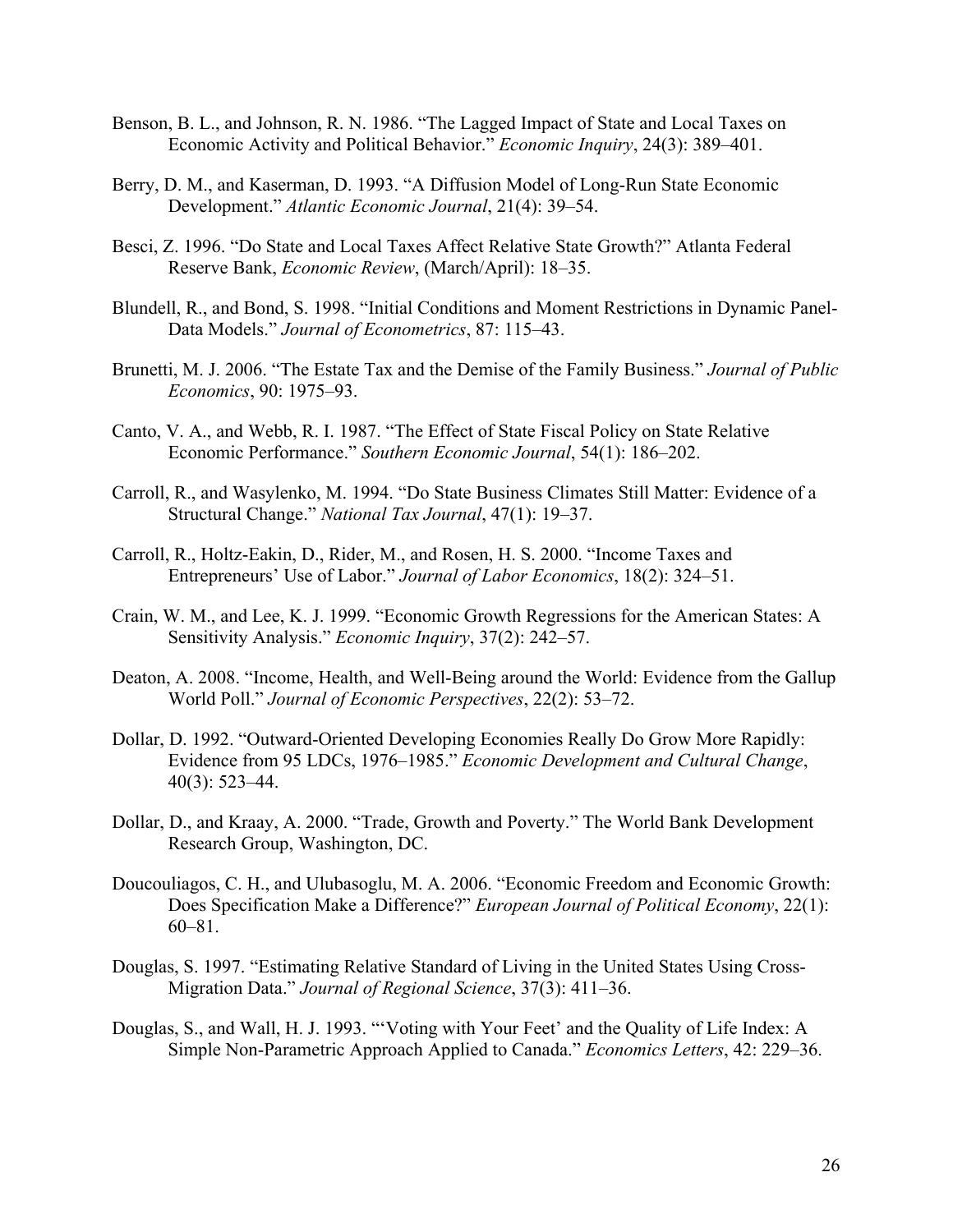- Benson, B. L., and Johnson, R. N. 1986. "The Lagged Impact of State and Local Taxes on Economic Activity and Political Behavior." *Economic Inquiry*, 24(3): 389–401.
- Berry, D. M., and Kaserman, D. 1993. "A Diffusion Model of Long-Run State Economic Development." *Atlantic Economic Journal*, 21(4): 39–54.
- Besci, Z. 1996. "Do State and Local Taxes Affect Relative State Growth?" Atlanta Federal Reserve Bank, *Economic Review*, (March/April): 18–35.
- Blundell, R., and Bond, S. 1998. "Initial Conditions and Moment Restrictions in Dynamic Panel-Data Models." *Journal of Econometrics*, 87: 115–43.
- Brunetti, M. J. 2006. "The Estate Tax and the Demise of the Family Business." *Journal of Public Economics*, 90: 1975–93.
- Canto, V. A., and Webb, R. I. 1987. "The Effect of State Fiscal Policy on State Relative Economic Performance." *Southern Economic Journal*, 54(1): 186–202.
- Carroll, R., and Wasylenko, M. 1994. "Do State Business Climates Still Matter: Evidence of a Structural Change." *National Tax Journal*, 47(1): 19–37.
- Carroll, R., Holtz-Eakin, D., Rider, M., and Rosen, H. S. 2000. "Income Taxes and Entrepreneurs' Use of Labor." *Journal of Labor Economics*, 18(2): 324–51.
- Crain, W. M., and Lee, K. J. 1999. "Economic Growth Regressions for the American States: A Sensitivity Analysis." *Economic Inquiry*, 37(2): 242–57.
- Deaton, A. 2008. "Income, Health, and Well-Being around the World: Evidence from the Gallup World Poll." *Journal of Economic Perspectives*, 22(2): 53–72.
- Dollar, D. 1992. "Outward-Oriented Developing Economies Really Do Grow More Rapidly: Evidence from 95 LDCs, 1976–1985." *Economic Development and Cultural Change*, 40(3): 523–44.
- Dollar, D., and Kraay, A. 2000. "Trade, Growth and Poverty." The World Bank Development Research Group, Washington, DC.
- Doucouliagos, C. H., and Ulubasoglu, M. A. 2006. "Economic Freedom and Economic Growth: Does Specification Make a Difference?" *European Journal of Political Economy*, 22(1): 60–81.
- Douglas, S. 1997. "Estimating Relative Standard of Living in the United States Using Cross-Migration Data." *Journal of Regional Science*, 37(3): 411–36.
- Douglas, S., and Wall, H. J. 1993. "'Voting with Your Feet' and the Quality of Life Index: A Simple Non-Parametric Approach Applied to Canada." *Economics Letters*, 42: 229–36.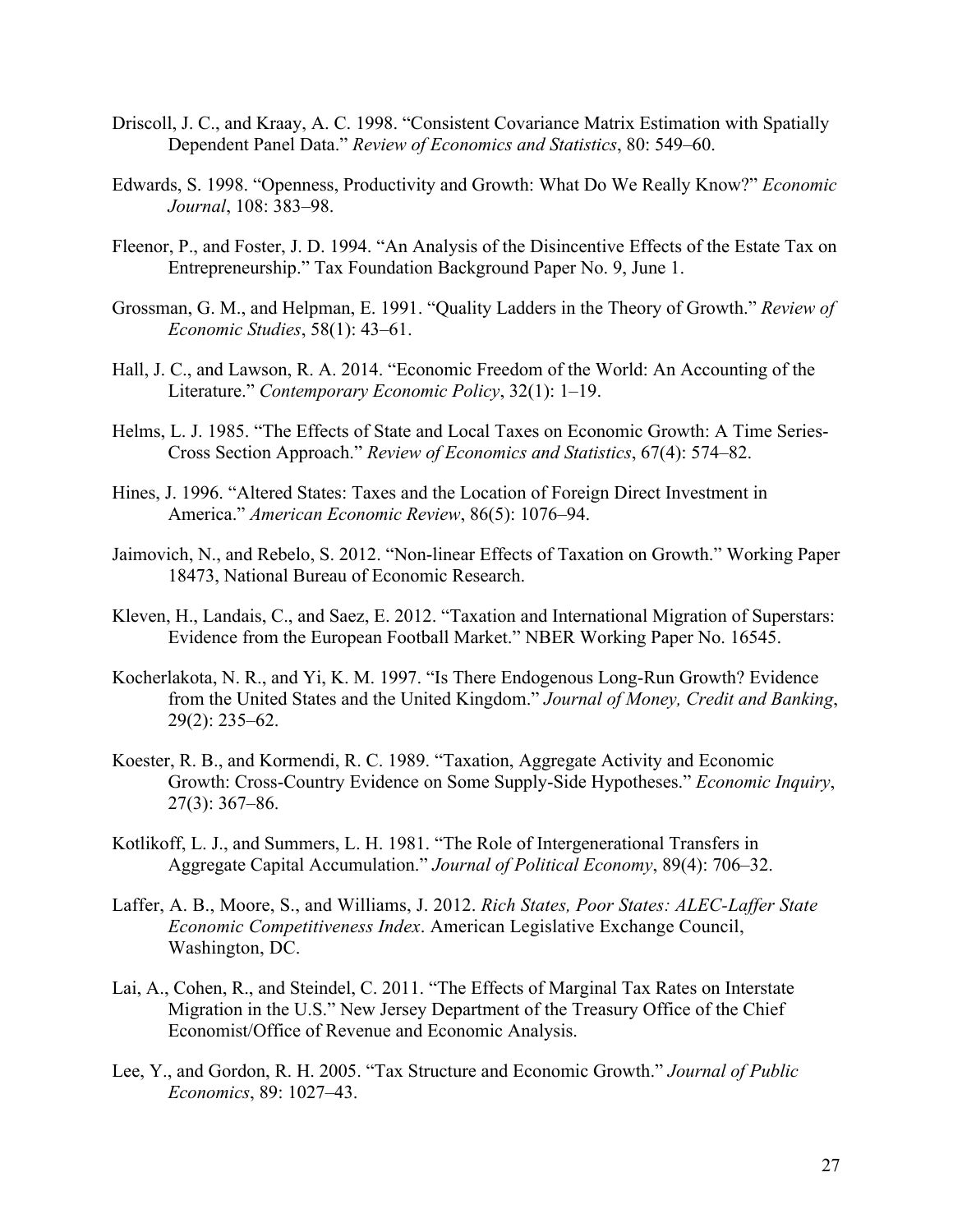- Driscoll, J. C., and Kraay, A. C. 1998. "Consistent Covariance Matrix Estimation with Spatially Dependent Panel Data." *Review of Economics and Statistics*, 80: 549–60.
- Edwards, S. 1998. "Openness, Productivity and Growth: What Do We Really Know?" *Economic Journal*, 108: 383–98.
- Fleenor, P., and Foster, J. D. 1994. "An Analysis of the Disincentive Effects of the Estate Tax on Entrepreneurship." Tax Foundation Background Paper No. 9, June 1.
- Grossman, G. M., and Helpman, E. 1991. "Quality Ladders in the Theory of Growth." *Review of Economic Studies*, 58(1): 43–61.
- Hall, J. C., and Lawson, R. A. 2014. "Economic Freedom of the World: An Accounting of the Literature." *Contemporary Economic Policy*, 32(1): 1–19.
- Helms, L. J. 1985. "The Effects of State and Local Taxes on Economic Growth: A Time Series-Cross Section Approach." *Review of Economics and Statistics*, 67(4): 574–82.
- Hines, J. 1996. "Altered States: Taxes and the Location of Foreign Direct Investment in America." *American Economic Review*, 86(5): 1076–94.
- Jaimovich, N., and Rebelo, S. 2012. "Non-linear Effects of Taxation on Growth." Working Paper 18473, National Bureau of Economic Research.
- Kleven, H., Landais, C., and Saez, E. 2012. "Taxation and International Migration of Superstars: Evidence from the European Football Market." NBER Working Paper No. 16545.
- Kocherlakota, N. R., and Yi, K. M. 1997. "Is There Endogenous Long-Run Growth? Evidence from the United States and the United Kingdom." *Journal of Money, Credit and Banking*, 29(2): 235–62.
- Koester, R. B., and Kormendi, R. C. 1989. "Taxation, Aggregate Activity and Economic Growth: Cross-Country Evidence on Some Supply-Side Hypotheses." *Economic Inquiry*, 27(3): 367–86.
- Kotlikoff, L. J., and Summers, L. H. 1981. "The Role of Intergenerational Transfers in Aggregate Capital Accumulation." *Journal of Political Economy*, 89(4): 706–32.
- Laffer, A. B., Moore, S., and Williams, J. 2012. *Rich States, Poor States: ALEC-Laffer State Economic Competitiveness Index*. American Legislative Exchange Council, Washington, DC.
- Lai, A., Cohen, R., and Steindel, C. 2011. "The Effects of Marginal Tax Rates on Interstate Migration in the U.S." New Jersey Department of the Treasury Office of the Chief Economist/Office of Revenue and Economic Analysis.
- Lee, Y., and Gordon, R. H. 2005. "Tax Structure and Economic Growth." *Journal of Public Economics*, 89: 1027–43.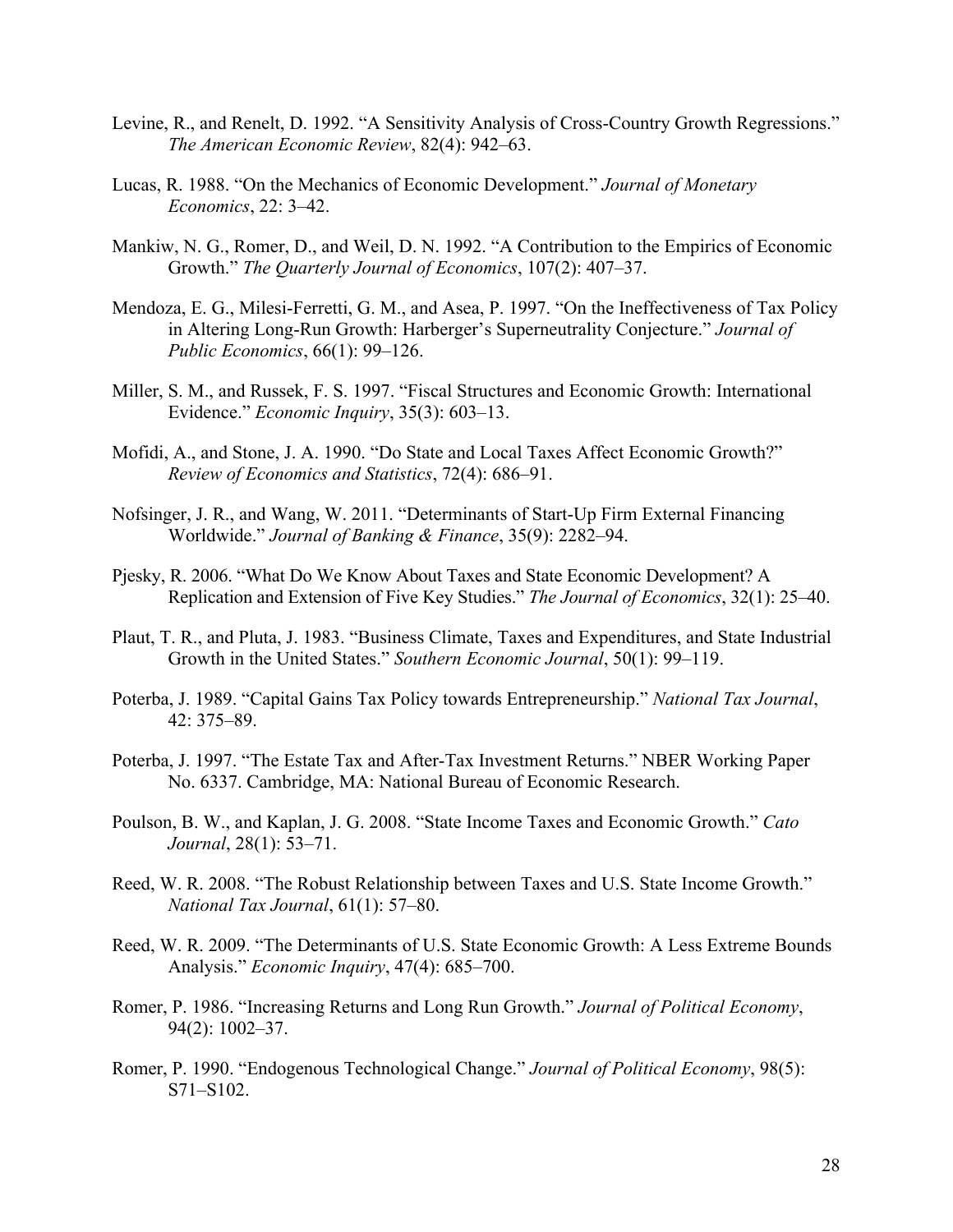- Levine, R., and Renelt, D. 1992. "A Sensitivity Analysis of Cross-Country Growth Regressions." *The American Economic Review*, 82(4): 942–63.
- Lucas, R. 1988. "On the Mechanics of Economic Development." *Journal of Monetary Economics*, 22: 3–42.
- Mankiw, N. G., Romer, D., and Weil, D. N. 1992. "A Contribution to the Empirics of Economic Growth." *The Quarterly Journal of Economics*, 107(2): 407–37.
- Mendoza, E. G., Milesi-Ferretti, G. M., and Asea, P. 1997. "On the Ineffectiveness of Tax Policy in Altering Long-Run Growth: Harberger's Superneutrality Conjecture." *Journal of Public Economics*, 66(1): 99–126.
- Miller, S. M., and Russek, F. S. 1997. "Fiscal Structures and Economic Growth: International Evidence." *Economic Inquiry*, 35(3): 603–13.
- Mofidi, A., and Stone, J. A. 1990. "Do State and Local Taxes Affect Economic Growth?" *Review of Economics and Statistics*, 72(4): 686–91.
- Nofsinger, J. R., and Wang, W. 2011. "Determinants of Start-Up Firm External Financing Worldwide." *Journal of Banking & Finance*, 35(9): 2282–94.
- Pjesky, R. 2006. "What Do We Know About Taxes and State Economic Development? A Replication and Extension of Five Key Studies." *The Journal of Economics*, 32(1): 25–40.
- Plaut, T. R., and Pluta, J. 1983. "Business Climate, Taxes and Expenditures, and State Industrial Growth in the United States." *Southern Economic Journal*, 50(1): 99–119.
- Poterba, J. 1989. "Capital Gains Tax Policy towards Entrepreneurship." *National Tax Journal*, 42: 375–89.
- Poterba, J. 1997. "The Estate Tax and After-Tax Investment Returns." NBER Working Paper No. 6337. Cambridge, MA: National Bureau of Economic Research.
- Poulson, B. W., and Kaplan, J. G. 2008. "State Income Taxes and Economic Growth." *Cato Journal*, 28(1): 53–71.
- Reed, W. R. 2008. "The Robust Relationship between Taxes and U.S. State Income Growth." *National Tax Journal*, 61(1): 57–80.
- Reed, W. R. 2009. "The Determinants of U.S. State Economic Growth: A Less Extreme Bounds Analysis." *Economic Inquiry*, 47(4): 685–700.
- Romer, P. 1986. "Increasing Returns and Long Run Growth." *Journal of Political Economy*, 94(2): 1002–37.
- Romer, P. 1990. "Endogenous Technological Change." *Journal of Political Economy*, 98(5): S71–S102.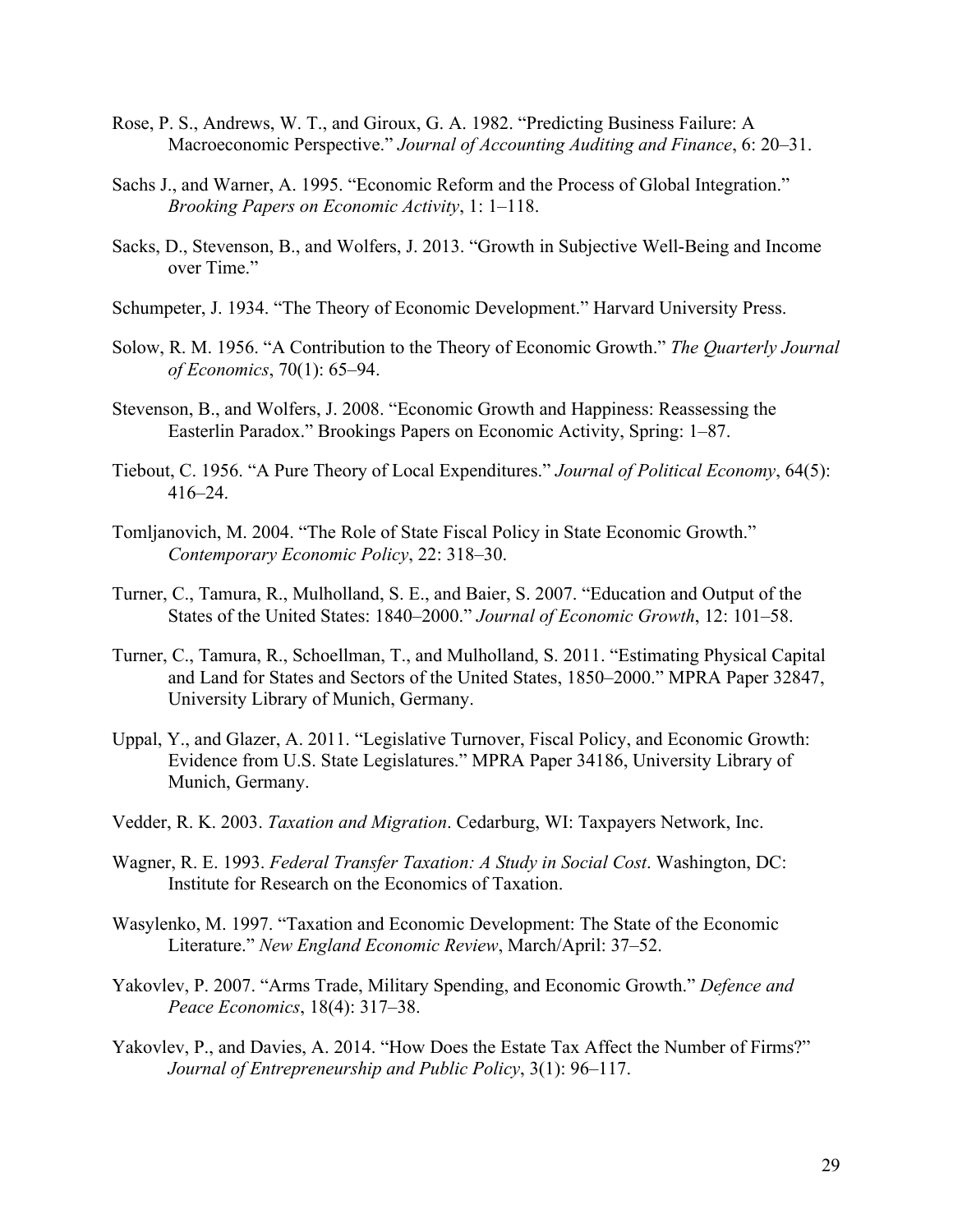- Rose, P. S., Andrews, W. T., and Giroux, G. A. 1982. "Predicting Business Failure: A Macroeconomic Perspective." *Journal of Accounting Auditing and Finance*, 6: 20–31.
- Sachs J., and Warner, A. 1995. "Economic Reform and the Process of Global Integration." *Brooking Papers on Economic Activity*, 1: 1–118.
- Sacks, D., Stevenson, B., and Wolfers, J. 2013. "Growth in Subjective Well-Being and Income over Time."
- Schumpeter, J. 1934. "The Theory of Economic Development." Harvard University Press.
- Solow, R. M. 1956. "A Contribution to the Theory of Economic Growth." *The Quarterly Journal of Economics*, 70(1): 65–94.
- Stevenson, B., and Wolfers, J. 2008. "Economic Growth and Happiness: Reassessing the Easterlin Paradox." Brookings Papers on Economic Activity, Spring: 1–87.
- Tiebout, C. 1956. "A Pure Theory of Local Expenditures." *Journal of Political Economy*, 64(5): 416–24.
- Tomljanovich, M. 2004. "The Role of State Fiscal Policy in State Economic Growth." *Contemporary Economic Policy*, 22: 318–30.
- Turner, C., Tamura, R., Mulholland, S. E., and Baier, S. 2007. "Education and Output of the States of the United States: 1840–2000." *Journal of Economic Growth*, 12: 101–58.
- Turner, C., Tamura, R., Schoellman, T., and Mulholland, S. 2011. "Estimating Physical Capital and Land for States and Sectors of the United States, 1850–2000." MPRA Paper 32847, University Library of Munich, Germany.
- Uppal, Y., and Glazer, A. 2011. "Legislative Turnover, Fiscal Policy, and Economic Growth: Evidence from U.S. State Legislatures." MPRA Paper 34186, University Library of Munich, Germany.
- Vedder, R. K. 2003. *Taxation and Migration*. Cedarburg, WI: Taxpayers Network, Inc.
- Wagner, R. E. 1993. *Federal Transfer Taxation: A Study in Social Cost*. Washington, DC: Institute for Research on the Economics of Taxation.
- Wasylenko, M. 1997. "Taxation and Economic Development: The State of the Economic Literature." *New England Economic Review*, March/April: 37–52.
- Yakovlev, P. 2007. "Arms Trade, Military Spending, and Economic Growth." *Defence and Peace Economics*, 18(4): 317–38.
- Yakovlev, P., and Davies, A. 2014. "How Does the Estate Tax Affect the Number of Firms?" *Journal of Entrepreneurship and Public Policy*, 3(1): 96–117.